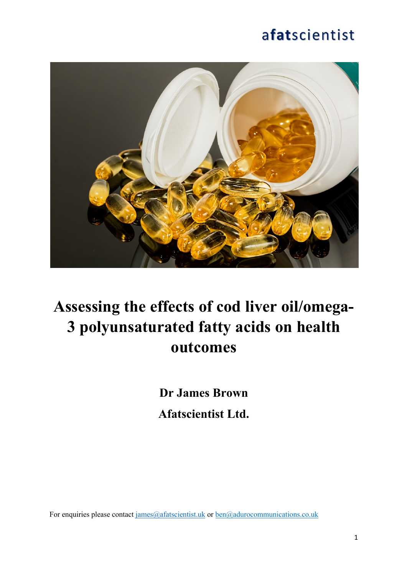

# **Assessing the effects of cod liver oil/omega-3 polyunsaturated fatty acids on health outcomes**

**Dr James Brown Afatscientist Ltd.**

For enquiries please contact  $\frac{1}{\text{ames}(\mathcal{Q})}$  afatscientist.uk or  $\frac{1}{\text{Den}(\mathcal{Q})}$  adurocommunications.co.uk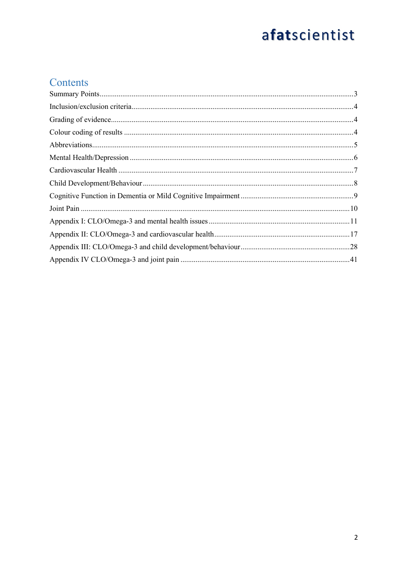#### Contents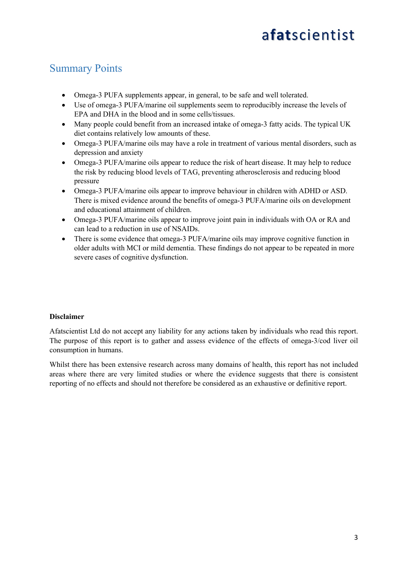#### Summary Points

- Omega-3 PUFA supplements appear, in general, to be safe and well tolerated.
- Use of omega-3 PUFA/marine oil supplements seem to reproducibly increase the levels of EPA and DHA in the blood and in some cells/tissues.
- Many people could benefit from an increased intake of omega-3 fatty acids. The typical UK diet contains relatively low amounts of these.
- Omega-3 PUFA/marine oils may have a role in treatment of various mental disorders, such as depression and anxiety
- Omega-3 PUFA/marine oils appear to reduce the risk of heart disease. It may help to reduce the risk by reducing blood levels of TAG, preventing atherosclerosis and reducing blood pressure
- Omega-3 PUFA/marine oils appear to improve behaviour in children with ADHD or ASD. There is mixed evidence around the benefits of omega-3 PUFA/marine oils on development and educational attainment of children.
- Omega-3 PUFA/marine oils appear to improve joint pain in individuals with OA or RA and can lead to a reduction in use of NSAIDs.
- There is some evidence that omega-3 PUFA/marine oils may improve cognitive function in older adults with MCI or mild dementia. These findings do not appear to be repeated in more severe cases of cognitive dysfunction.

#### **Disclaimer**

Afatscientist Ltd do not accept any liability for any actions taken by individuals who read this report. The purpose of this report is to gather and assess evidence of the effects of omega-3/cod liver oil consumption in humans.

Whilst there has been extensive research across many domains of health, this report has not included areas where there are very limited studies or where the evidence suggests that there is consistent reporting of no effects and should not therefore be considered as an exhaustive or definitive report.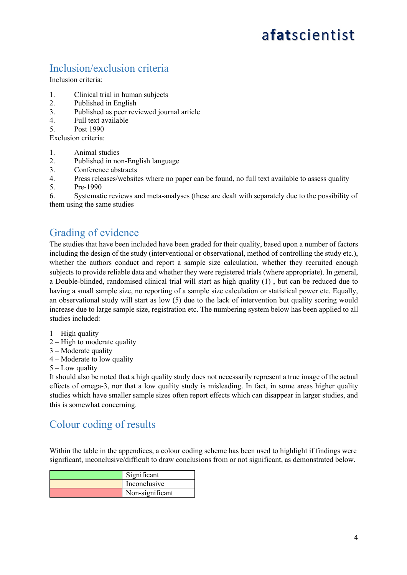#### Inclusion/exclusion criteria

Inclusion criteria:

- 1. Clinical trial in human subjects
- 2. Published in English
- 3. Published as peer reviewed journal article
- 4. Full text available
- 5. Post 1990

Exclusion criteria:

- 1. Animal studies
- 2. Published in non-English language
- 3. Conference abstracts
- 4. Press releases/websites where no paper can be found, no full text available to assess quality
- 5. Pre-1990

6. Systematic reviews and meta-analyses (these are dealt with separately due to the possibility of them using the same studies

#### Grading of evidence

The studies that have been included have been graded for their quality, based upon a number of factors including the design of the study (interventional or observational, method of controlling the study etc.), whether the authors conduct and report a sample size calculation, whether they recruited enough subjects to provide reliable data and whether they were registered trials (where appropriate). In general, a Double-blinded, randomised clinical trial will start as high quality (1) , but can be reduced due to having a small sample size, no reporting of a sample size calculation or statistical power etc. Equally, an observational study will start as low (5) due to the lack of intervention but quality scoring would increase due to large sample size, registration etc. The numbering system below has been applied to all studies included:

- $1 -$ High quality
- 2 High to moderate quality
- 3 Moderate quality
- 4 Moderate to low quality
- 5 Low quality

It should also be noted that a high quality study does not necessarily represent a true image of the actual effects of omega-3, nor that a low quality study is misleading. In fact, in some areas higher quality studies which have smaller sample sizes often report effects which can disappear in larger studies, and this is somewhat concerning.

#### Colour coding of results

Within the table in the appendices, a colour coding scheme has been used to highlight if findings were significant, inconclusive/difficult to draw conclusions from or not significant, as demonstrated below.

| Significant     |
|-----------------|
| Inconclusive    |
| Non-significant |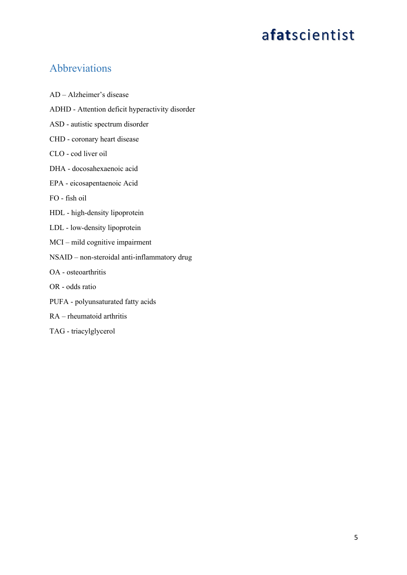#### Abbreviations

AD – Alzheimer's disease ADHD - Attention deficit hyperactivity disorder ASD - autistic spectrum disorder CHD - coronary heart disease CLO - cod liver oil DHA - docosahexaenoic acid EPA - eicosapentaenoic Acid FO - fish oil HDL - high-density lipoprotein LDL - low-density lipoprotein MCI – mild cognitive impairment NSAID – non-steroidal anti-inflammatory drug OA - osteoarthritis OR - odds ratio PUFA - polyunsaturated fatty acids RA – rheumatoid arthritis TAG - triacylglycerol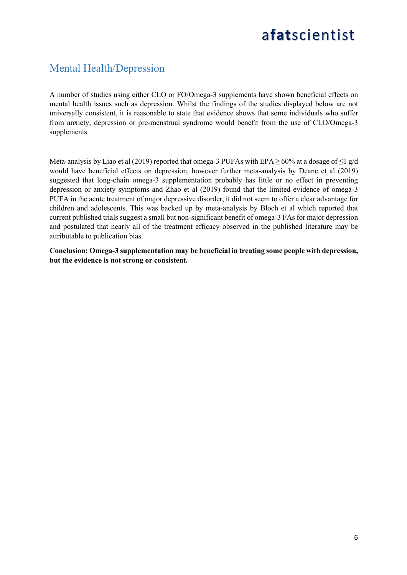#### Mental Health/Depression

A number of studies using either CLO or FO/Omega-3 supplements have shown beneficial effects on mental health issues such as depression. Whilst the findings of the studies displayed below are not universally consistent, it is reasonable to state that evidence shows that some individuals who suffer from anxiety, depression or pre-menstrual syndrome would benefit from the use of CLO/Omega-3 supplements.

Meta-analysis by Liao et al (2019) reported that omega-3 PUFAs with EPA $> 60\%$  at a dosage of  $\leq$  1 g/d would have beneficial effects on depression, however further meta-analysis by Deane et al (2019) suggested that long-chain omega-3 supplementation probably has little or no effect in preventing depression or anxiety symptoms and Zhao et al (2019) found that the limited evidence of omega-3 PUFA in the acute treatment of major depressive disorder, it did not seem to offer a clear advantage for children and adolescents. This was backed up by meta-analysis by Bloch et al which reported that current published trials suggest a small but non-significant benefit of omega-3 FAs for major depression and postulated that nearly all of the treatment efficacy observed in the published literature may be attributable to publication bias.

**Conclusion: Omega-3 supplementation may be beneficial in treating some people with depression, but the evidence is not strong or consistent.**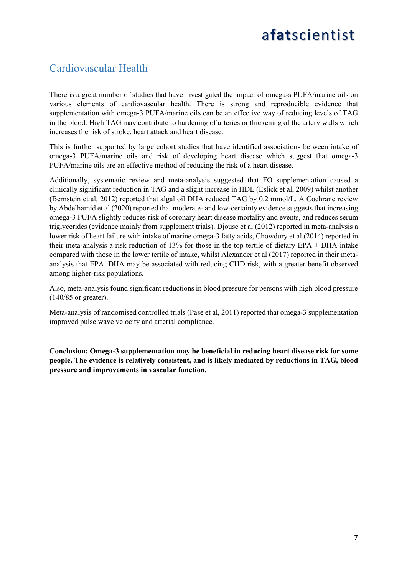#### Cardiovascular Health

There is a great number of studies that have investigated the impact of omega-s PUFA/marine oils on various elements of cardiovascular health. There is strong and reproducible evidence that supplementation with omega-3 PUFA/marine oils can be an effective way of reducing levels of TAG in the blood. High TAG may contribute to hardening of arteries or thickening of the artery walls which increases the risk of stroke, heart attack and heart disease.

This is further supported by large cohort studies that have identified associations between intake of omega-3 PUFA/marine oils and risk of developing heart disease which suggest that omega-3 PUFA/marine oils are an effective method of reducing the risk of a heart disease.

Additionally, systematic review and meta-analysis suggested that FO supplementation caused a clinically significant reduction in TAG and a slight increase in HDL (Eslick et al, 2009) whilst another (Bernstein et al, 2012) reported that algal oil DHA reduced TAG by 0.2 mmol/L. A Cochrane review by Abdelhamid et al (2020) reported that moderate‐ and low‐certainty evidence suggests that increasing omega-3 PUFA slightly reduces risk of coronary heart disease mortality and events, and reduces serum triglycerides (evidence mainly from supplement trials). Djouse et al (2012) reported in meta-analysis a lower risk of heart failure with intake of marine omega-3 fatty acids, Chowdury et al (2014) reported in their meta-analysis a risk reduction of 13% for those in the top tertile of dietary EPA + DHA intake compared with those in the lower tertile of intake, whilst Alexander et al (2017) reported in their metaanalysis that EPA+DHA may be associated with reducing CHD risk, with a greater benefit observed among higher-risk populations.

Also, meta-analysis found significant reductions in blood pressure for persons with high blood pressure (140/85 or greater).

Meta-analysis of randomised controlled trials (Pase et al, 2011) reported that omega-3 supplementation improved pulse wave velocity and arterial compliance.

**Conclusion: Omega-3 supplementation may be beneficial in reducing heart disease risk for some people. The evidence is relatively consistent, and is likely mediated by reductions in TAG, blood pressure and improvements in vascular function.**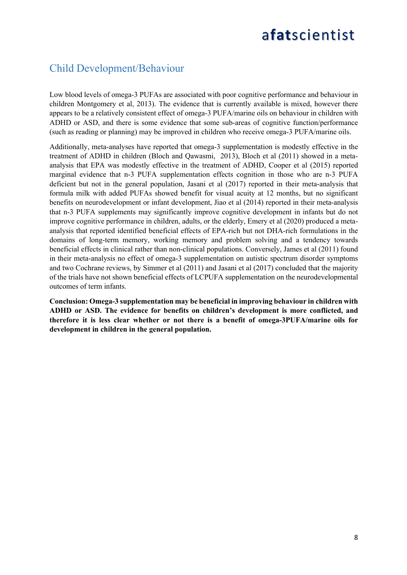#### Child Development/Behaviour

Low blood levels of omega-3 PUFAs are associated with poor cognitive performance and behaviour in children Montgomery et al, 2013). The evidence that is currently available is mixed, however there appears to be a relatively consistent effect of omega-3 PUFA/marine oils on behaviour in children with ADHD or ASD, and there is some evidence that some sub-areas of cognitive function/performance (such as reading or planning) may be improved in children who receive omega-3 PUFA/marine oils.

Additionally, meta-analyses have reported that omega-3 supplementation is modestly effective in the treatment of ADHD in children (Bloch and Qawasmi, 2013), Bloch et al (2011) showed in a metaanalysis that EPA was modestly effective in the treatment of ADHD, Cooper et al (2015) reported marginal evidence that n-3 PUFA supplementation effects cognition in those who are n-3 PUFA deficient but not in the general population, Jasani et al (2017) reported in their meta-analysis that formula milk with added PUFAs showed benefit for visual acuity at 12 months, but no significant benefits on neurodevelopment or infant development, Jiao et al (2014) reported in their meta-analysis that n-3 PUFA supplements may significantly improve cognitive development in infants but do not improve cognitive performance in children, adults, or the elderly, Emery et al (2020) produced a metaanalysis that reported identified beneficial effects of EPA-rich but not DHA-rich formulations in the domains of long-term memory, working memory and problem solving and a tendency towards beneficial effects in clinical rather than non-clinical populations. Conversely, James et al (2011) found in their meta-analysis no effect of omega-3 supplementation on autistic spectrum disorder symptoms and two Cochrane reviews, by Simmer et al (2011) and Jasani et al (2017) concluded that the majority of the trials have not shown beneficial effects of LCPUFA supplementation on the neurodevelopmental outcomes of term infants.

**Conclusion: Omega-3 supplementation may be beneficial in improving behaviour in children with ADHD or ASD. The evidence for benefits on children's development is more conflicted, and therefore it is less clear whether or not there is a benefit of omega-3PUFA/marine oils for development in children in the general population.**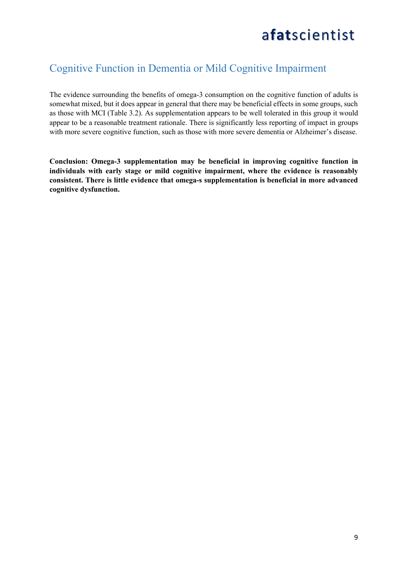#### Cognitive Function in Dementia or Mild Cognitive Impairment

The evidence surrounding the benefits of omega-3 consumption on the cognitive function of adults is somewhat mixed, but it does appear in general that there may be beneficial effects in some groups, such as those with MCI (Table 3.2). As supplementation appears to be well tolerated in this group it would appear to be a reasonable treatment rationale. There is significantly less reporting of impact in groups with more severe cognitive function, such as those with more severe dementia or Alzheimer's disease.

**Conclusion: Omega-3 supplementation may be beneficial in improving cognitive function in individuals with early stage or mild cognitive impairment, where the evidence is reasonably consistent. There is little evidence that omega-s supplementation is beneficial in more advanced cognitive dysfunction.**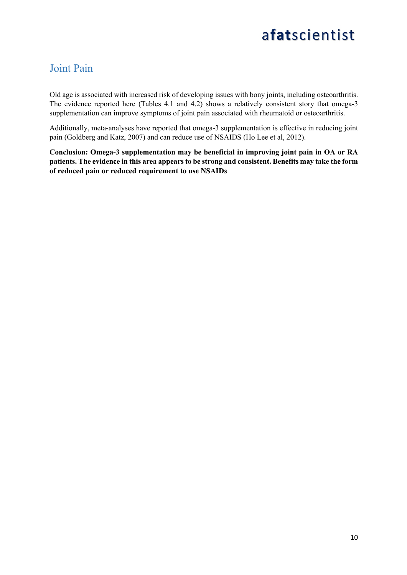#### Joint Pain

Old age is associated with increased risk of developing issues with bony joints, including osteoarthritis. The evidence reported here (Tables 4.1 and 4.2) shows a relatively consistent story that omega-3 supplementation can improve symptoms of joint pain associated with rheumatoid or osteoarthritis.

Additionally, meta-analyses have reported that omega-3 supplementation is effective in reducing joint pain (Goldberg and Katz, 2007) and can reduce use of NSAIDS (Ho Lee et al, 2012).

**Conclusion: Omega-3 supplementation may be beneficial in improving joint pain in OA or RA patients. The evidence in this area appears to be strong and consistent. Benefits may take the form of reduced pain or reduced requirement to use NSAIDs**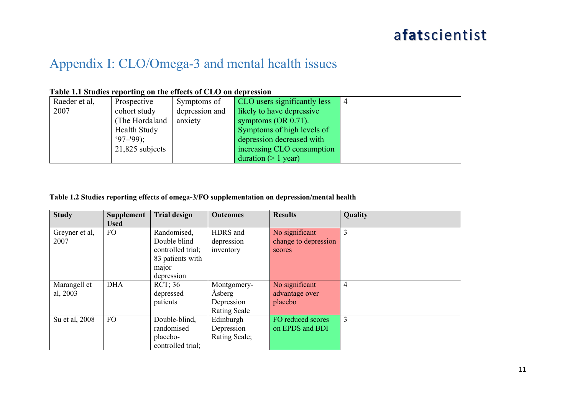#### Appendix I: CLO/Omega-3 and mental health issues

|  |  |  | Table 1.1 Studies reporting on the effects of CLO on depression |  |
|--|--|--|-----------------------------------------------------------------|--|
|  |  |  |                                                                 |  |

| Raeder et al, | Prospective         | Symptoms of    | CLO users significantly less | $\overline{4}$ |
|---------------|---------------------|----------------|------------------------------|----------------|
| 2007          | cohort study        | depression and | likely to have depressive    |                |
|               | (The Hordaland      | anxiety        | symptoms $(OR 0.71)$ .       |                |
|               | <b>Health Study</b> |                | Symptoms of high levels of   |                |
|               | $97 - 99$ :         |                | depression decreased with    |                |
|               | $21,825$ subjects   |                | increasing CLO consumption   |                |
|               |                     |                | duration $(>1$ year)         |                |

#### **Table 1.2 Studies reporting effects of omega-3/FO supplementation on depression/mental health**

| <b>Study</b>             | <b>Supplement</b><br><b>Used</b> | <b>Trial design</b>                                                                         | <b>Outcomes</b>                                     | <b>Results</b>                                   | Quality        |
|--------------------------|----------------------------------|---------------------------------------------------------------------------------------------|-----------------------------------------------------|--------------------------------------------------|----------------|
| Greyner et al,<br>2007   | FO.                              | Randomised,<br>Double blind<br>controlled trial;<br>83 patients with<br>major<br>depression | HDRS and<br>depression<br>inventory                 | No significant<br>change to depression<br>scores | $\overline{3}$ |
| Marangell et<br>al, 2003 | <b>DHA</b>                       | RCT:36<br>depressed<br>patients                                                             | Montgomery-<br>Åsberg<br>Depression<br>Rating Scale | No significant<br>advantage over<br>placebo      | $\overline{4}$ |
| Su et al, 2008           | <b>FO</b>                        | Double-blind,<br>randomised<br>placebo-<br>controlled trial;                                | Edinburgh<br>Depression<br>Rating Scale;            | FO reduced scores<br>on EPDS and BDI             | $\overline{3}$ |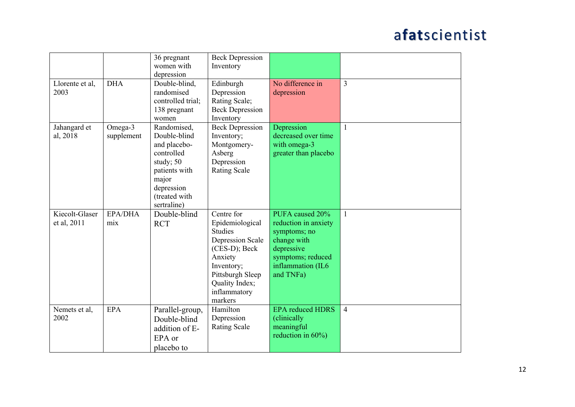|                 |            | 36 pregnant       | <b>Beck Depression</b>  |                         |                |
|-----------------|------------|-------------------|-------------------------|-------------------------|----------------|
|                 |            | women with        | Inventory               |                         |                |
|                 |            | depression        |                         |                         |                |
| Llorente et al, | <b>DHA</b> | Double-blind,     | Edinburgh               | No difference in        | $\overline{3}$ |
| 2003            |            | randomised        | Depression              | depression              |                |
|                 |            | controlled trial; | Rating Scale;           |                         |                |
|                 |            | 138 pregnant      | <b>Beck Depression</b>  |                         |                |
|                 |            | women             | Inventory               |                         |                |
| Jahangard et    | Omega-3    | Randomised,       | <b>Beck Depression</b>  | Depression              | $\mathbf{1}$   |
| al, 2018        | supplement | Double-blind      | Inventory;              | decreased over time     |                |
|                 |            | and placebo-      | Montgomery-             | with omega-3            |                |
|                 |            | controlled        | Asberg                  | greater than placebo    |                |
|                 |            | study; 50         | Depression              |                         |                |
|                 |            | patients with     | <b>Rating Scale</b>     |                         |                |
|                 |            | major             |                         |                         |                |
|                 |            | depression        |                         |                         |                |
|                 |            | (treated with     |                         |                         |                |
|                 |            | sertraline)       |                         |                         |                |
| Kiecolt-Glaser  | EPA/DHA    | Double-blind      | Centre for              | PUFA caused 20%         | $\overline{1}$ |
| et al, 2011     | mix        | <b>RCT</b>        | Epidemiological         | reduction in anxiety    |                |
|                 |            |                   | <b>Studies</b>          | symptoms; no            |                |
|                 |            |                   | <b>Depression Scale</b> | change with             |                |
|                 |            |                   | $(CES-D); Beck$         | depressive              |                |
|                 |            |                   | Anxiety                 | symptoms; reduced       |                |
|                 |            |                   | Inventory;              | inflammation (IL6       |                |
|                 |            |                   | Pittsburgh Sleep        | and TNFa)               |                |
|                 |            |                   | Quality Index;          |                         |                |
|                 |            |                   | inflammatory            |                         |                |
|                 |            |                   | markers                 |                         |                |
| Nemets et al,   | <b>EPA</b> | Parallel-group,   | Hamilton                | <b>EPA</b> reduced HDRS | $\overline{4}$ |
| 2002            |            | Double-blind      | Depression              | (clinically             |                |
|                 |            | addition of E-    | <b>Rating Scale</b>     | meaningful              |                |
|                 |            | EPA or            |                         | reduction in $60\%$ )   |                |
|                 |            |                   |                         |                         |                |
|                 |            | placebo to        |                         |                         |                |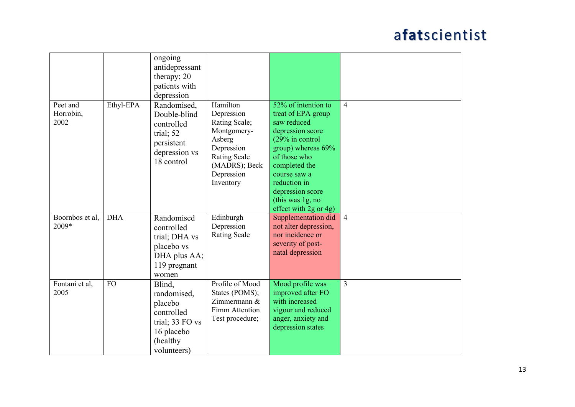|                 |            | ongoing         |                     |                       |                |
|-----------------|------------|-----------------|---------------------|-----------------------|----------------|
|                 |            | antidepressant  |                     |                       |                |
|                 |            | therapy; 20     |                     |                       |                |
|                 |            | patients with   |                     |                       |                |
|                 |            | depression      |                     |                       |                |
| Peet and        | Ethyl-EPA  | Randomised,     | Hamilton            | 52% of intention to   | $\overline{4}$ |
| Horrobin,       |            | Double-blind    | Depression          | treat of EPA group    |                |
| 2002            |            | controlled      | Rating Scale;       | saw reduced           |                |
|                 |            | trial; 52       | Montgomery-         | depression score      |                |
|                 |            |                 | Asberg              | (29% in control       |                |
|                 |            | persistent      | Depression          | group) whereas 69%    |                |
|                 |            | depression vs   | <b>Rating Scale</b> | of those who          |                |
|                 |            | 18 control      | (MADRS); Beck       | completed the         |                |
|                 |            |                 | Depression          | course saw a          |                |
|                 |            |                 | Inventory           | reduction in          |                |
|                 |            |                 |                     | depression score      |                |
|                 |            |                 |                     | (this was $1g$ , no   |                |
|                 |            |                 |                     | effect with 2g or 4g) |                |
| Boornbos et al, | <b>DHA</b> | Randomised      | Edinburgh           | Supplementation did   | $\overline{4}$ |
| 2009*           |            | controlled      | Depression          | not alter depression, |                |
|                 |            | trial; DHA vs   | <b>Rating Scale</b> | nor incidence or      |                |
|                 |            |                 |                     | severity of post-     |                |
|                 |            | placebo vs      |                     | natal depression      |                |
|                 |            | DHA plus AA;    |                     |                       |                |
|                 |            | 119 pregnant    |                     |                       |                |
|                 |            | women           |                     |                       |                |
| Fontani et al,  | <b>FO</b>  | Blind,          | Profile of Mood     | Mood profile was      | $\overline{3}$ |
| 2005            |            | randomised,     | States (POMS);      | improved after FO     |                |
|                 |            | placebo         | Zimmermann &        | with increased        |                |
|                 |            | controlled      | Fimm Attention      | vigour and reduced    |                |
|                 |            | trial; 33 FO vs | Test procedure;     | anger, anxiety and    |                |
|                 |            |                 |                     | depression states     |                |
|                 |            | 16 placebo      |                     |                       |                |
|                 |            | (healthy        |                     |                       |                |
|                 |            | volunteers)     |                     |                       |                |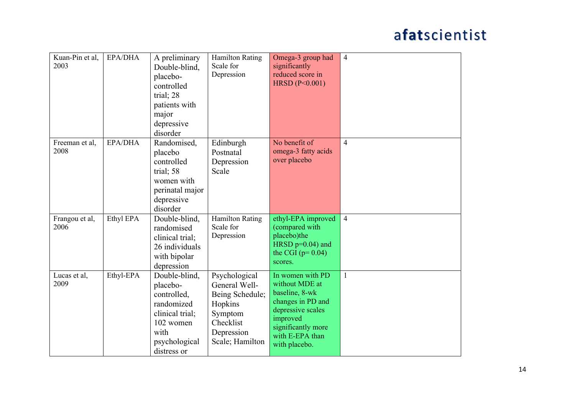| Kuan-Pin et al,<br>2003 | <b>EPA/DHA</b> | A preliminary<br>Double-blind,<br>placebo-<br>controlled<br>trial; 28<br>patients with<br>major<br>depressive<br>disorder      | <b>Hamilton Rating</b><br>Scale for<br>Depression                                                                     | Omega-3 group had<br>significantly<br>reduced score in<br>HRSD (P<0.001)                                                                                             | $\overline{4}$ |
|-------------------------|----------------|--------------------------------------------------------------------------------------------------------------------------------|-----------------------------------------------------------------------------------------------------------------------|----------------------------------------------------------------------------------------------------------------------------------------------------------------------|----------------|
| Freeman et al,<br>2008  | EPA/DHA        | Randomised,<br>placebo<br>controlled<br>trial; 58<br>women with<br>perinatal major<br>depressive<br>disorder                   | Edinburgh<br>Postnatal<br>Depression<br>Scale                                                                         | No benefit of<br>omega-3 fatty acids<br>over placebo                                                                                                                 | $\overline{4}$ |
| Frangou et al,<br>2006  | Ethyl EPA      | Double-blind,<br>randomised<br>clinical trial;<br>26 individuals<br>with bipolar<br>depression                                 | <b>Hamilton Rating</b><br>Scale for<br>Depression                                                                     | ethyl-EPA improved<br>(compared with<br>placebo)the<br>HRSD $p=0.04$ ) and<br>the CGI $(p=0.04)$<br>scores.                                                          | $\overline{4}$ |
| Lucas et al,<br>2009    | Ethyl-EPA      | Double-blind,<br>placebo-<br>controlled,<br>randomized<br>clinical trial;<br>102 women<br>with<br>psychological<br>distress or | Psychological<br>General Well-<br>Being Schedule;<br>Hopkins<br>Symptom<br>Checklist<br>Depression<br>Scale; Hamilton | In women with PD<br>without MDE at<br>baseline, 8-wk<br>changes in PD and<br>depressive scales<br>improved<br>significantly more<br>with E-EPA than<br>with placebo. | $\mathbf{1}$   |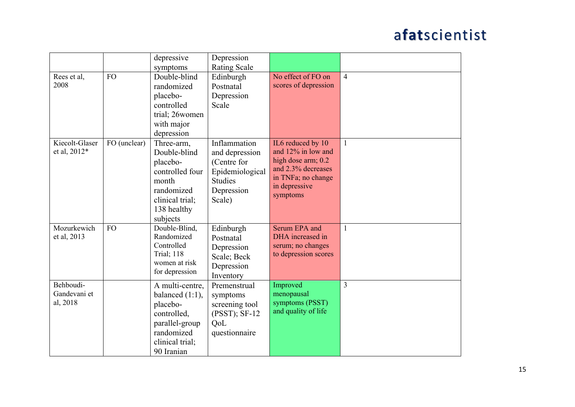|                                       |              | depressive<br>symptoms                                                                                                            | Depression<br><b>Rating Scale</b>                                                                          |                                                                                                                                        |                |
|---------------------------------------|--------------|-----------------------------------------------------------------------------------------------------------------------------------|------------------------------------------------------------------------------------------------------------|----------------------------------------------------------------------------------------------------------------------------------------|----------------|
| Rees et al,<br>2008                   | <b>FO</b>    | Double-blind<br>randomized<br>placebo-<br>controlled<br>trial; 26women<br>with major<br>depression                                | Edinburgh<br>Postnatal<br>Depression<br>Scale                                                              | No effect of FO on<br>scores of depression                                                                                             | $\overline{4}$ |
| Kiecolt-Glaser<br>et al, 2012*        | FO (unclear) | Three-arm,<br>Double-blind<br>placebo-<br>controlled four<br>month<br>randomized<br>clinical trial;<br>138 healthy<br>subjects    | Inflammation<br>and depression<br>(Centre for<br>Epidemiological<br><b>Studies</b><br>Depression<br>Scale) | IL6 reduced by 10<br>and 12% in low and<br>high dose arm; 0.2<br>and 2.3% decreases<br>in TNFa; no change<br>in depressive<br>symptoms | $\mathbf{1}$   |
| Mozurkewich<br>et al, 2013            | <b>FO</b>    | Double-Blind,<br>Randomized<br>Controlled<br><b>Trial</b> ; 118<br>women at risk<br>for depression                                | Edinburgh<br>Postnatal<br>Depression<br>Scale; Beck<br>Depression<br>Inventory                             | Serum EPA and<br>DHA increased in<br>serum; no changes<br>to depression scores                                                         | $\mathbf{1}$   |
| Behboudi-<br>Gandevani et<br>al, 2018 |              | A multi-centre,<br>balanced $(1:1)$ ,<br>placebo-<br>controlled,<br>parallel-group<br>randomized<br>clinical trial;<br>90 Iranian | Premenstrual<br>symptoms<br>screening tool<br>$(PSST)$ ; SF-12<br>QoL<br>questionnaire                     | Improved<br>menopausal<br>symptoms (PSST)<br>and quality of life                                                                       | 3              |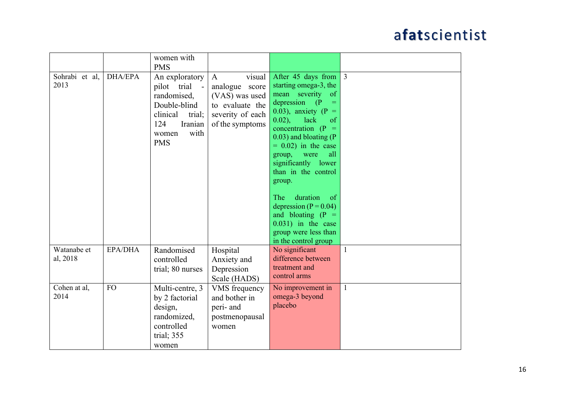|                         |                | women with<br><b>PMS</b>                                                                                                            |                                                                                                                      |                                                                                                                                                                                                                                                                                                                                                                                                                                                                                 |                |
|-------------------------|----------------|-------------------------------------------------------------------------------------------------------------------------------------|----------------------------------------------------------------------------------------------------------------------|---------------------------------------------------------------------------------------------------------------------------------------------------------------------------------------------------------------------------------------------------------------------------------------------------------------------------------------------------------------------------------------------------------------------------------------------------------------------------------|----------------|
| Sohrabi et al,<br>2013  | <b>DHA/EPA</b> | An exploratory<br>pilot trial<br>randomised,<br>Double-blind<br>clinical<br>trial;<br>Iranian<br>124<br>with<br>women<br><b>PMS</b> | visual<br>$\mathbf{A}$<br>analogue score<br>(VAS) was used<br>to evaluate the<br>severity of each<br>of the symptoms | After 45 days from<br>starting omega-3, the<br>mean severity of<br>depression (P<br>$=$<br>0.03), anxiety (P =<br>$0.02$ ),<br>lack<br>of<br>concentration (P<br>$\equiv$<br>$(0.03)$ and bloating (P)<br>$= 0.02$ ) in the case<br>all<br>group,<br>were<br>significantly lower<br>than in the control<br>group.<br>duration<br>The<br>$\circ$ of<br>depression ( $P = 0.04$ )<br>and bloating $(P =$<br>$0.031$ ) in the case<br>group were less than<br>in the control group | $\overline{3}$ |
| Watanabe et<br>al, 2018 | EPA/DHA        | Randomised<br>controlled<br>trial; 80 nurses                                                                                        | Hospital<br>Anxiety and<br>Depression<br>Scale (HADS)                                                                | No significant<br>difference between<br>treatment and<br>control arms                                                                                                                                                                                                                                                                                                                                                                                                           | $\mathbf{1}$   |
| Cohen at al,<br>2014    | FO             | Multi-centre, 3<br>by 2 factorial<br>design,<br>randomized,<br>controlled<br>trial; 355<br>women                                    | VMS frequency<br>and bother in<br>peri- and<br>postmenopausal<br>women                                               | No improvement in<br>omega-3 beyond<br>placebo                                                                                                                                                                                                                                                                                                                                                                                                                                  | $\mathbf{1}$   |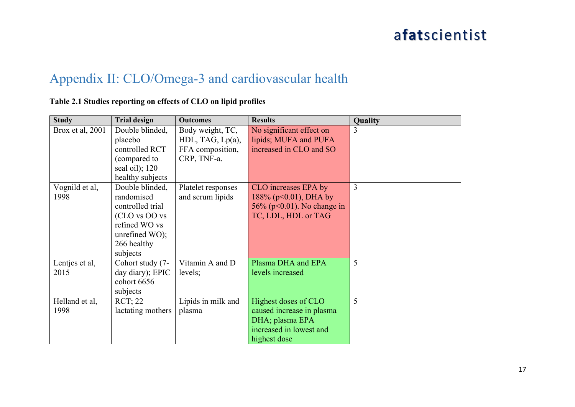#### Appendix II: CLO/Omega-3 and cardiovascular health

#### **Table 2.1 Studies reporting on effects of CLO on lipid profiles**

| <b>Study</b>     | <b>Trial design</b> | <b>Outcomes</b>    | <b>Results</b>                 | Quality |
|------------------|---------------------|--------------------|--------------------------------|---------|
| Brox et al, 2001 | Double blinded,     | Body weight, TC,   | No significant effect on       | 3       |
|                  | placebo             | HDL, TAG, Lp(a),   | lipids; MUFA and PUFA          |         |
|                  | controlled RCT      | FFA composition,   | increased in CLO and SO        |         |
|                  | (compared to        | CRP, TNF-a.        |                                |         |
|                  | seal oil); 120      |                    |                                |         |
|                  | healthy subjects    |                    |                                |         |
| Vognild et al,   | Double blinded,     | Platelet responses | CLO increases EPA by           | 3       |
| 1998             | randomised          | and serum lipids   | $188\%$ (p<0.01), DHA by       |         |
|                  | controlled trial    |                    | 56% ( $p<0.01$ ). No change in |         |
|                  | (CLO vs OO vs       |                    | TC, LDL, HDL or TAG            |         |
|                  | refined WO vs       |                    |                                |         |
|                  | unrefined WO);      |                    |                                |         |
|                  | 266 healthy         |                    |                                |         |
|                  | subjects            |                    |                                |         |
| Lentjes et al,   | Cohort study (7-    | Vitamin A and D    | Plasma DHA and EPA             | 5       |
| 2015             | day diary); EPIC    | levels;            | levels increased               |         |
|                  | cohort 6656         |                    |                                |         |
|                  | subjects            |                    |                                |         |
| Helland et al,   | <b>RCT</b> ; 22     | Lipids in milk and | Highest doses of CLO           | 5       |
| 1998             | lactating mothers   | plasma             | caused increase in plasma      |         |
|                  |                     |                    | DHA; plasma EPA                |         |
|                  |                     |                    | increased in lowest and        |         |
|                  |                     |                    | highest dose                   |         |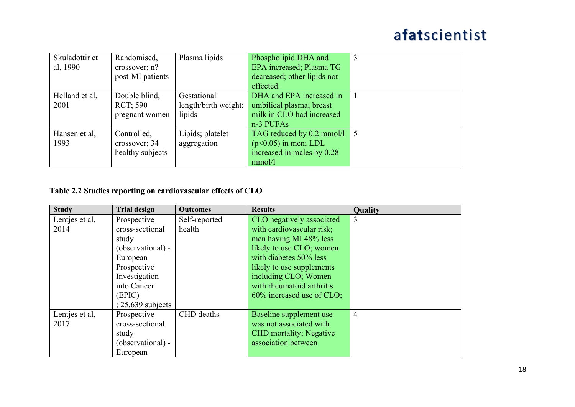| Skuladottir et | Randomised,      | Plasma lipids        | Phospholipid DHA and                    | 3 |
|----------------|------------------|----------------------|-----------------------------------------|---|
| al, 1990       | crossover; n?    |                      | EPA increased; Plasma TG                |   |
|                | post-MI patients |                      | decreased; other lipids not             |   |
|                |                  |                      | effected.                               |   |
| Helland et al, | Double blind,    | Gestational          | DHA and EPA increased in                |   |
| 2001           | <b>RCT</b> ; 590 | length/birth weight; | umbilical plasma; breast                |   |
|                | pregnant women   | lipids               | milk in CLO had increased               |   |
|                |                  |                      | $n-3$ PUFAs                             |   |
| Hansen et al,  | Controlled,      | Lipids; platelet     | TAG reduced by $0.2 \text{ mmol/l}$   5 |   |
| 1993           | crossover; 34    | aggregation          | $(p<0.05)$ in men; LDL                  |   |
|                | healthy subjects |                      | increased in males by 0.28              |   |
|                |                  |                      | mmol/l                                  |   |

#### **Table 2.2 Studies reporting on cardiovascular effects of CLO**

| <b>Study</b>   | <b>Trial design</b> | <b>Outcomes</b> | <b>Results</b>                 | Quality        |
|----------------|---------------------|-----------------|--------------------------------|----------------|
| Lentjes et al, | Prospective         | Self-reported   | CLO negatively associated      | $\overline{3}$ |
| 2014           | cross-sectional     | health          | with cardiovascular risk;      |                |
|                | study               |                 | men having MI 48% less         |                |
|                | (observational) -   |                 | likely to use CLO; women       |                |
|                | European            |                 | with diabetes 50% less         |                |
|                | Prospective         |                 | likely to use supplements      |                |
|                | Investigation       |                 | including CLO; Women           |                |
|                | into Cancer         |                 | with rheumatoid arthritis      |                |
|                | (EPIC)              |                 | $60\%$ increased use of CLO;   |                |
|                | $: 25,639$ subjects |                 |                                |                |
| Lentjes et al, | Prospective         | CHD deaths      | Baseline supplement use        | $\overline{4}$ |
| 2017           | cross-sectional     |                 | was not associated with        |                |
|                | study               |                 | <b>CHD</b> mortality; Negative |                |
|                | (observational) -   |                 | association between            |                |
|                | European            |                 |                                |                |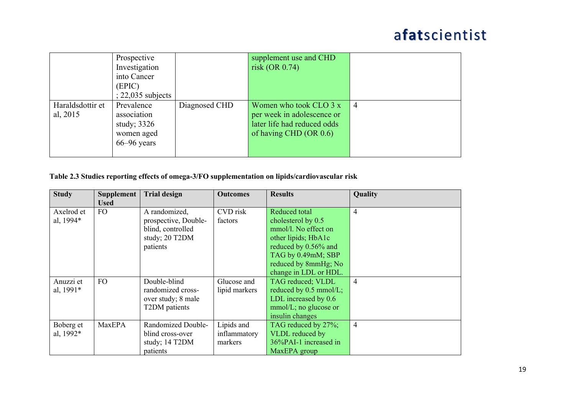|                              | Prospective<br>Investigation<br>into Cancer<br>(EPIC)<br>$22,035$ subjects  |               | supplement use and CHD<br>risk (OR $0.74$ )                                                                      |    |
|------------------------------|-----------------------------------------------------------------------------|---------------|------------------------------------------------------------------------------------------------------------------|----|
| Haraldsdottir et<br>al, 2015 | Prevalence<br>association<br>study; $3326$<br>women aged<br>$66 - 96$ years | Diagnosed CHD | Women who took CLO $3x$<br>per week in adolescence or<br>later life had reduced odds<br>of having CHD $(OR 0.6)$ | -4 |

#### **Table 2.3 Studies reporting effects of omega-3/FO supplementation on lipids/cardiovascular risk**

| <b>Study</b> | <b>Supplement</b><br><b>Used</b> | <b>Trial design</b>  | <b>Outcomes</b> | <b>Results</b>           | Quality        |
|--------------|----------------------------------|----------------------|-----------------|--------------------------|----------------|
| Axelrod et   | FO.                              | A randomized,        | CVD risk        | Reduced total            | $\overline{4}$ |
| al, 1994*    |                                  | prospective, Double- | factors         | cholesterol by 0.5       |                |
|              |                                  | blind, controlled    |                 | mmol/l. No effect on     |                |
|              |                                  | study; 20 T2DM       |                 | other lipids; HbA1c      |                |
|              |                                  | patients             |                 | reduced by 0.56% and     |                |
|              |                                  |                      |                 | TAG by 0.49mM; SBP       |                |
|              |                                  |                      |                 | reduced by 8mmHg; No     |                |
|              |                                  |                      |                 | change in LDL or HDL.    |                |
| Anuzzi et    | <b>FO</b>                        | Double-blind         | Glucose and     | TAG reduced; VLDL        | $\overline{4}$ |
| al, 1991*    |                                  | randomized cross-    | lipid markers   | reduced by 0.5 mmol/L;   |                |
|              |                                  | over study; 8 male   |                 | LDL increased by 0.6     |                |
|              |                                  | T2DM patients        |                 | $mmol/L$ ; no glucose or |                |
|              |                                  |                      |                 | insulin changes          |                |
| Boberg et    | MaxEPA                           | Randomized Double-   | Lipids and      | TAG reduced by 27%;      | $\overline{4}$ |
| al, 1992*    |                                  | blind cross-over     | inflammatory    | VLDL reduced by          |                |
|              |                                  | study; 14 T2DM       | markers         | 36%PAI-1 increased in    |                |
|              |                                  | patients             |                 | MaxEPA group             |                |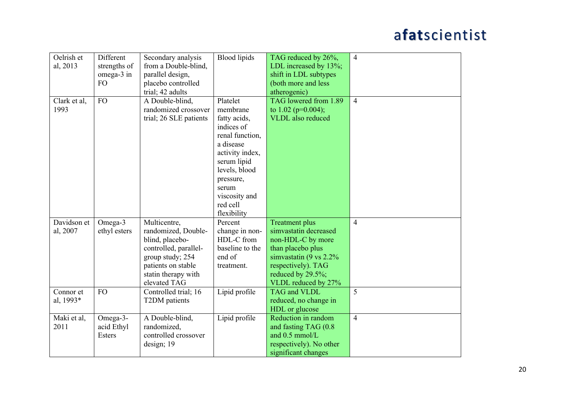| Oelrish et   | Different     | Secondary analysis     | <b>Blood</b> lipids | TAG reduced by 26%,      | $\overline{4}$ |
|--------------|---------------|------------------------|---------------------|--------------------------|----------------|
| al, 2013     | strengths of  | from a Double-blind,   |                     | LDL increased by 13%;    |                |
|              | omega-3 in    | parallel design,       |                     | shift in LDL subtypes    |                |
|              | FO            | placebo controlled     |                     | (both more and less      |                |
|              |               | trial; 42 adults       |                     | atherogenic)             |                |
| Clark et al, | <b>FO</b>     | A Double-blind,        | Platelet            | TAG lowered from 1.89    | $\overline{4}$ |
| 1993         |               | randomized crossover   | membrane            | to $1.02$ (p=0.004);     |                |
|              |               | trial; 26 SLE patients | fatty acids,        | <b>VLDL</b> also reduced |                |
|              |               |                        | indices of          |                          |                |
|              |               |                        | renal function,     |                          |                |
|              |               |                        | a disease           |                          |                |
|              |               |                        | activity index,     |                          |                |
|              |               |                        | serum lipid         |                          |                |
|              |               |                        | levels, blood       |                          |                |
|              |               |                        | pressure,           |                          |                |
|              |               |                        | serum               |                          |                |
|              |               |                        | viscosity and       |                          |                |
|              |               |                        | red cell            |                          |                |
|              |               |                        | flexibility         |                          |                |
| Davidson et  | Omega-3       | Multicentre,           | Percent             | <b>Treatment plus</b>    | $\overline{4}$ |
| al, 2007     | ethyl esters  | randomized, Double-    | change in non-      | simvastatin decreased    |                |
|              |               | blind, placebo-        | HDL-C from          | non-HDL-C by more        |                |
|              |               | controlled, parallel-  | baseline to the     | than placebo plus        |                |
|              |               | group study; 254       | end of              | simvastatin (9 vs 2.2%)  |                |
|              |               | patients on stable     | treatment.          | respectively). TAG       |                |
|              |               | statin therapy with    |                     | reduced by 29.5%;        |                |
|              |               | elevated TAG           |                     | VLDL reduced by 27%      |                |
| Connor et    | FO            | Controlled trial; 16   | Lipid profile       | TAG and VLDL             | 5              |
| al, 1993*    |               | T2DM patients          |                     | reduced, no change in    |                |
|              |               |                        |                     | HDL or glucose           |                |
| Maki et al,  | Omega-3-      | A Double-blind,        | Lipid profile       | Reduction in random      | $\overline{4}$ |
| 2011         | acid Ethyl    | randomized,            |                     | and fasting TAG (0.8)    |                |
|              | <b>Esters</b> | controlled crossover   |                     | and 0.5 mmol/L           |                |
|              |               | design; 19             |                     | respectively). No other  |                |
|              |               |                        |                     | significant changes      |                |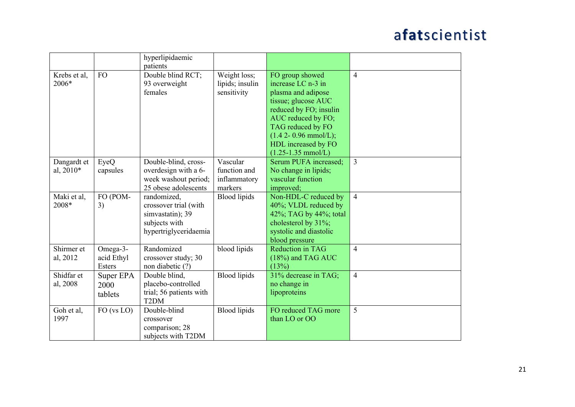| hyperlipidaemic<br>patients<br><b>FO</b><br>Double blind RCT;<br>FO group showed<br>Weight loss;<br>$\overline{4}$<br>Krebs et al,<br>2006*<br>93 overweight<br>lipids; insulin<br>increase LC n-3 in<br>females<br>sensitivity<br>plasma and adipose<br>tissue; glucose AUC<br>reduced by FO; insulin<br>AUC reduced by FO;<br>TAG reduced by FO<br>$(1.4 2 - 0.96$ mmol/L);<br>HDL increased by FO<br>$(1.25 - 1.35$ mmol/L)<br>Serum PUFA increased;<br>Double-blind, cross-<br>Vascular<br>$\overline{3}$<br>Dangardt et<br>EyeQ<br>al, 2010*<br>overdesign with a 6-<br>function and<br>No change in lipids;<br>capsules<br>vascular function<br>week washout period;<br>inflammatory<br>25 obese adolescents<br>markers<br>improved;<br>FO (POM-<br>randomized,<br><b>Blood</b> lipids<br>Non-HDL-C reduced by<br>Maki et al,<br>$\overline{4}$<br>2008*<br>3)<br>40%; VLDL reduced by<br>crossover trial (with<br>42%; TAG by 44%; total<br>simvastatin); 39<br>subjects with<br>cholesterol by 31%;<br>hypertriglyceridaemia<br>systolic and diastolic<br>blood pressure<br>Shirmer et<br>Randomized<br>blood lipids<br><b>Reduction in TAG</b><br>Omega-3-<br>$\overline{4}$<br>al, 2012<br>acid Ethyl<br>crossover study; 30<br>(18%) and TAG AUC<br><b>Esters</b><br>non diabetic (?)<br>(13%)<br><b>Blood</b> lipids<br>Shidfar et<br>31% decrease in TAG;<br>$\overline{4}$<br>Double blind,<br>Super EPA<br>placebo-controlled<br>al, 2008<br>no change in<br>2000<br>trial; 56 patients with<br>lipoproteins<br>tablets<br>T <sub>2</sub> DM<br>Double-blind<br>FO reduced TAG more<br>5<br><b>Blood</b> lipids<br>Goh et al,<br>FO (vs LO)<br>1997<br>than LO or OO<br>crossover |  |                |  |  |
|--------------------------------------------------------------------------------------------------------------------------------------------------------------------------------------------------------------------------------------------------------------------------------------------------------------------------------------------------------------------------------------------------------------------------------------------------------------------------------------------------------------------------------------------------------------------------------------------------------------------------------------------------------------------------------------------------------------------------------------------------------------------------------------------------------------------------------------------------------------------------------------------------------------------------------------------------------------------------------------------------------------------------------------------------------------------------------------------------------------------------------------------------------------------------------------------------------------------------------------------------------------------------------------------------------------------------------------------------------------------------------------------------------------------------------------------------------------------------------------------------------------------------------------------------------------------------------------------------------------------------------------------------------------------------------------------------|--|----------------|--|--|
|                                                                                                                                                                                                                                                                                                                                                                                                                                                                                                                                                                                                                                                                                                                                                                                                                                                                                                                                                                                                                                                                                                                                                                                                                                                                                                                                                                                                                                                                                                                                                                                                                                                                                                  |  |                |  |  |
|                                                                                                                                                                                                                                                                                                                                                                                                                                                                                                                                                                                                                                                                                                                                                                                                                                                                                                                                                                                                                                                                                                                                                                                                                                                                                                                                                                                                                                                                                                                                                                                                                                                                                                  |  |                |  |  |
|                                                                                                                                                                                                                                                                                                                                                                                                                                                                                                                                                                                                                                                                                                                                                                                                                                                                                                                                                                                                                                                                                                                                                                                                                                                                                                                                                                                                                                                                                                                                                                                                                                                                                                  |  |                |  |  |
|                                                                                                                                                                                                                                                                                                                                                                                                                                                                                                                                                                                                                                                                                                                                                                                                                                                                                                                                                                                                                                                                                                                                                                                                                                                                                                                                                                                                                                                                                                                                                                                                                                                                                                  |  |                |  |  |
|                                                                                                                                                                                                                                                                                                                                                                                                                                                                                                                                                                                                                                                                                                                                                                                                                                                                                                                                                                                                                                                                                                                                                                                                                                                                                                                                                                                                                                                                                                                                                                                                                                                                                                  |  |                |  |  |
|                                                                                                                                                                                                                                                                                                                                                                                                                                                                                                                                                                                                                                                                                                                                                                                                                                                                                                                                                                                                                                                                                                                                                                                                                                                                                                                                                                                                                                                                                                                                                                                                                                                                                                  |  |                |  |  |
|                                                                                                                                                                                                                                                                                                                                                                                                                                                                                                                                                                                                                                                                                                                                                                                                                                                                                                                                                                                                                                                                                                                                                                                                                                                                                                                                                                                                                                                                                                                                                                                                                                                                                                  |  |                |  |  |
|                                                                                                                                                                                                                                                                                                                                                                                                                                                                                                                                                                                                                                                                                                                                                                                                                                                                                                                                                                                                                                                                                                                                                                                                                                                                                                                                                                                                                                                                                                                                                                                                                                                                                                  |  |                |  |  |
|                                                                                                                                                                                                                                                                                                                                                                                                                                                                                                                                                                                                                                                                                                                                                                                                                                                                                                                                                                                                                                                                                                                                                                                                                                                                                                                                                                                                                                                                                                                                                                                                                                                                                                  |  |                |  |  |
|                                                                                                                                                                                                                                                                                                                                                                                                                                                                                                                                                                                                                                                                                                                                                                                                                                                                                                                                                                                                                                                                                                                                                                                                                                                                                                                                                                                                                                                                                                                                                                                                                                                                                                  |  |                |  |  |
|                                                                                                                                                                                                                                                                                                                                                                                                                                                                                                                                                                                                                                                                                                                                                                                                                                                                                                                                                                                                                                                                                                                                                                                                                                                                                                                                                                                                                                                                                                                                                                                                                                                                                                  |  |                |  |  |
|                                                                                                                                                                                                                                                                                                                                                                                                                                                                                                                                                                                                                                                                                                                                                                                                                                                                                                                                                                                                                                                                                                                                                                                                                                                                                                                                                                                                                                                                                                                                                                                                                                                                                                  |  |                |  |  |
|                                                                                                                                                                                                                                                                                                                                                                                                                                                                                                                                                                                                                                                                                                                                                                                                                                                                                                                                                                                                                                                                                                                                                                                                                                                                                                                                                                                                                                                                                                                                                                                                                                                                                                  |  |                |  |  |
|                                                                                                                                                                                                                                                                                                                                                                                                                                                                                                                                                                                                                                                                                                                                                                                                                                                                                                                                                                                                                                                                                                                                                                                                                                                                                                                                                                                                                                                                                                                                                                                                                                                                                                  |  |                |  |  |
|                                                                                                                                                                                                                                                                                                                                                                                                                                                                                                                                                                                                                                                                                                                                                                                                                                                                                                                                                                                                                                                                                                                                                                                                                                                                                                                                                                                                                                                                                                                                                                                                                                                                                                  |  |                |  |  |
|                                                                                                                                                                                                                                                                                                                                                                                                                                                                                                                                                                                                                                                                                                                                                                                                                                                                                                                                                                                                                                                                                                                                                                                                                                                                                                                                                                                                                                                                                                                                                                                                                                                                                                  |  |                |  |  |
|                                                                                                                                                                                                                                                                                                                                                                                                                                                                                                                                                                                                                                                                                                                                                                                                                                                                                                                                                                                                                                                                                                                                                                                                                                                                                                                                                                                                                                                                                                                                                                                                                                                                                                  |  |                |  |  |
|                                                                                                                                                                                                                                                                                                                                                                                                                                                                                                                                                                                                                                                                                                                                                                                                                                                                                                                                                                                                                                                                                                                                                                                                                                                                                                                                                                                                                                                                                                                                                                                                                                                                                                  |  |                |  |  |
|                                                                                                                                                                                                                                                                                                                                                                                                                                                                                                                                                                                                                                                                                                                                                                                                                                                                                                                                                                                                                                                                                                                                                                                                                                                                                                                                                                                                                                                                                                                                                                                                                                                                                                  |  |                |  |  |
|                                                                                                                                                                                                                                                                                                                                                                                                                                                                                                                                                                                                                                                                                                                                                                                                                                                                                                                                                                                                                                                                                                                                                                                                                                                                                                                                                                                                                                                                                                                                                                                                                                                                                                  |  |                |  |  |
|                                                                                                                                                                                                                                                                                                                                                                                                                                                                                                                                                                                                                                                                                                                                                                                                                                                                                                                                                                                                                                                                                                                                                                                                                                                                                                                                                                                                                                                                                                                                                                                                                                                                                                  |  |                |  |  |
|                                                                                                                                                                                                                                                                                                                                                                                                                                                                                                                                                                                                                                                                                                                                                                                                                                                                                                                                                                                                                                                                                                                                                                                                                                                                                                                                                                                                                                                                                                                                                                                                                                                                                                  |  |                |  |  |
|                                                                                                                                                                                                                                                                                                                                                                                                                                                                                                                                                                                                                                                                                                                                                                                                                                                                                                                                                                                                                                                                                                                                                                                                                                                                                                                                                                                                                                                                                                                                                                                                                                                                                                  |  |                |  |  |
|                                                                                                                                                                                                                                                                                                                                                                                                                                                                                                                                                                                                                                                                                                                                                                                                                                                                                                                                                                                                                                                                                                                                                                                                                                                                                                                                                                                                                                                                                                                                                                                                                                                                                                  |  |                |  |  |
|                                                                                                                                                                                                                                                                                                                                                                                                                                                                                                                                                                                                                                                                                                                                                                                                                                                                                                                                                                                                                                                                                                                                                                                                                                                                                                                                                                                                                                                                                                                                                                                                                                                                                                  |  |                |  |  |
|                                                                                                                                                                                                                                                                                                                                                                                                                                                                                                                                                                                                                                                                                                                                                                                                                                                                                                                                                                                                                                                                                                                                                                                                                                                                                                                                                                                                                                                                                                                                                                                                                                                                                                  |  |                |  |  |
|                                                                                                                                                                                                                                                                                                                                                                                                                                                                                                                                                                                                                                                                                                                                                                                                                                                                                                                                                                                                                                                                                                                                                                                                                                                                                                                                                                                                                                                                                                                                                                                                                                                                                                  |  |                |  |  |
|                                                                                                                                                                                                                                                                                                                                                                                                                                                                                                                                                                                                                                                                                                                                                                                                                                                                                                                                                                                                                                                                                                                                                                                                                                                                                                                                                                                                                                                                                                                                                                                                                                                                                                  |  |                |  |  |
|                                                                                                                                                                                                                                                                                                                                                                                                                                                                                                                                                                                                                                                                                                                                                                                                                                                                                                                                                                                                                                                                                                                                                                                                                                                                                                                                                                                                                                                                                                                                                                                                                                                                                                  |  |                |  |  |
|                                                                                                                                                                                                                                                                                                                                                                                                                                                                                                                                                                                                                                                                                                                                                                                                                                                                                                                                                                                                                                                                                                                                                                                                                                                                                                                                                                                                                                                                                                                                                                                                                                                                                                  |  |                |  |  |
|                                                                                                                                                                                                                                                                                                                                                                                                                                                                                                                                                                                                                                                                                                                                                                                                                                                                                                                                                                                                                                                                                                                                                                                                                                                                                                                                                                                                                                                                                                                                                                                                                                                                                                  |  |                |  |  |
|                                                                                                                                                                                                                                                                                                                                                                                                                                                                                                                                                                                                                                                                                                                                                                                                                                                                                                                                                                                                                                                                                                                                                                                                                                                                                                                                                                                                                                                                                                                                                                                                                                                                                                  |  | comparison; 28 |  |  |
| subjects with T2DM                                                                                                                                                                                                                                                                                                                                                                                                                                                                                                                                                                                                                                                                                                                                                                                                                                                                                                                                                                                                                                                                                                                                                                                                                                                                                                                                                                                                                                                                                                                                                                                                                                                                               |  |                |  |  |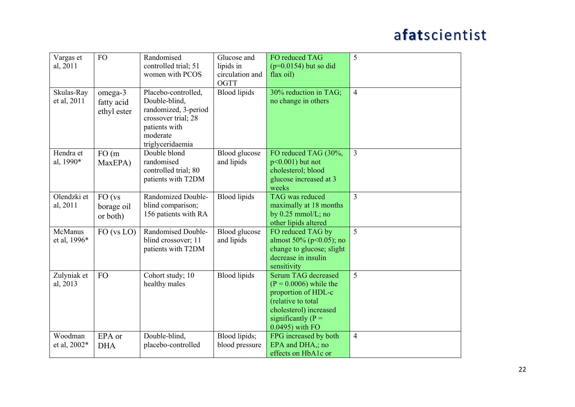| Vargas et<br>al, 2011     | <b>FO</b>                            | Randomised<br>controlled trial; 51<br>women with PCOS                                                                                | Glucose and<br>lipids in<br>circulation and<br>OGTT | FO reduced TAG<br>$(p=0.0154)$ but so did<br>flax oil)                                                                                                            | 5              |
|---------------------------|--------------------------------------|--------------------------------------------------------------------------------------------------------------------------------------|-----------------------------------------------------|-------------------------------------------------------------------------------------------------------------------------------------------------------------------|----------------|
| Skulas-Ray<br>et al, 2011 | omega-3<br>fatty acid<br>ethyl ester | Placebo-controlled,<br>Double-blind,<br>randomized, 3-period<br>crossover trial; 28<br>patients with<br>moderate<br>triglyceridaemia | <b>Blood</b> lipids                                 | 30% reduction in TAG;<br>no change in others                                                                                                                      | $\overline{4}$ |
| Hendra et<br>al, 1990*    | FO(m)<br>MaxEPA)                     | Double blond<br>randomised<br>controlled trial; 80<br>patients with T2DM                                                             | Blood glucose<br>and lipids                         | FO reduced TAG (30%,<br>$p<0.001$ ) but not<br>cholesterol; blood<br>glucose increased at 3<br>weeks                                                              | $\overline{3}$ |
| Olendzki et<br>al, 2011   | FO (vs<br>borage oil<br>or both)     | Randomized Double-<br>blind comparison;<br>156 patients with RA                                                                      | <b>Blood</b> lipids                                 | TAG was reduced<br>maximally at 18 months<br>by $0.25$ mmol/L; no<br>other lipids altered                                                                         | $\overline{3}$ |
| McManus<br>et al, 1996*   | FO (vs LO)                           | Randomised Double-<br>blind crossover; 11<br>patients with T2DM                                                                      | Blood glucose<br>and lipids                         | FO reduced TAG by<br>almost 50% ( $p<0.05$ ); no<br>change to glucose; slight<br>decrease in insulin<br>sensitivity                                               | $\overline{5}$ |
| Zulyniak et<br>al, 2013   | <b>FO</b>                            | Cohort study; 10<br>healthy males                                                                                                    | <b>Blood</b> lipids                                 | Serum TAG decreased<br>$(P = 0.0006)$ while the<br>proportion of HDL-c<br>(relative to total<br>cholesterol) increased<br>significantly $(P =$<br>0.0495) with FO | 5              |
| Woodman<br>et al, 2002*   | EPA or<br><b>DHA</b>                 | Double-blind,<br>placebo-controlled                                                                                                  | Blood lipids;<br>blood pressure                     | FPG increased by both<br>EPA and DHA,; no<br>effects on HbA1c or                                                                                                  | $\overline{4}$ |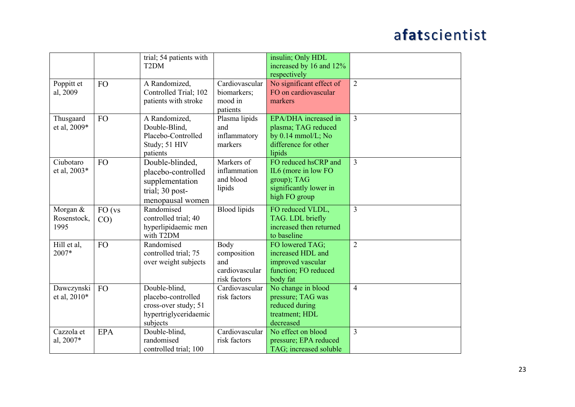|              |            | trial; 54 patients with |                            | insulin; Only HDL              |                |
|--------------|------------|-------------------------|----------------------------|--------------------------------|----------------|
|              |            | T <sub>2</sub> DM       |                            | increased by 16 and 12%        |                |
|              |            |                         |                            | respectively                   | $\overline{2}$ |
| Poppitt et   | <b>FO</b>  | A Randomized,           | Cardiovascular             | No significant effect of       |                |
| al, 2009     |            | Controlled Trial; 102   | biomarkers;                | FO on cardiovascular           |                |
|              |            | patients with stroke    | mood in                    | markers                        |                |
|              |            |                         | patients                   | EPA/DHA increased in           | $\overline{3}$ |
| Thusgaard    | <b>FO</b>  | A Randomized,           | Plasma lipids              |                                |                |
| et al, 2009* |            | Double-Blind,           | and                        | plasma; TAG reduced            |                |
|              |            | Placebo-Controlled      | inflammatory               | by $0.14$ mmol/L; No           |                |
|              |            | Study; 51 HIV           | markers                    | difference for other           |                |
| Ciubotaro    |            | patients                |                            | lipids<br>FO reduced hsCRP and |                |
|              | <b>FO</b>  | Double-blinded,         | Markers of<br>inflammation |                                | 3              |
| et al, 2003* |            | placebo-controlled      | and blood                  | IL6 (more in low FO            |                |
|              |            | supplementation         |                            | group); TAG                    |                |
|              |            | trial; 30 post-         | lipids                     | significantly lower in         |                |
|              |            | menopausal women        |                            | high FO group                  |                |
| Morgan &     | FO (vs     | Randomised              | <b>Blood</b> lipids        | FO reduced VLDL,               | $\overline{3}$ |
| Rosenstock,  | CO)        | controlled trial; 40    |                            | TAG. LDL briefly               |                |
| 1995         |            | hyperlipidaemic men     |                            | increased then returned        |                |
|              |            | with T2DM               |                            | to baseline                    |                |
| Hill et al,  | <b>FO</b>  | Randomised              | Body                       | FO lowered TAG;                | $\overline{2}$ |
| 2007*        |            | controlled trial; 75    | composition                | increased HDL and              |                |
|              |            | over weight subjects    | and                        | improved vascular              |                |
|              |            |                         | cardiovascular             | function; FO reduced           |                |
|              |            |                         | risk factors               | body fat                       |                |
| Dawczynski   | <b>FO</b>  | Double-blind,           | Cardiovascular             | No change in blood             | $\overline{4}$ |
| et al, 2010* |            | placebo-controlled      | risk factors               | pressure; TAG was              |                |
|              |            | cross-over study; 51    |                            | reduced during                 |                |
|              |            | hypertriglyceridaemic   |                            | treatment; HDL                 |                |
|              |            | subjects                |                            | decreased                      |                |
| Cazzola et   | <b>EPA</b> | Double-blind,           | Cardiovascular             | No effect on blood             | $\overline{3}$ |
| al, 2007*    |            | randomised              | risk factors               | pressure; EPA reduced          |                |
|              |            | controlled trial; 100   |                            | TAG; increased soluble         |                |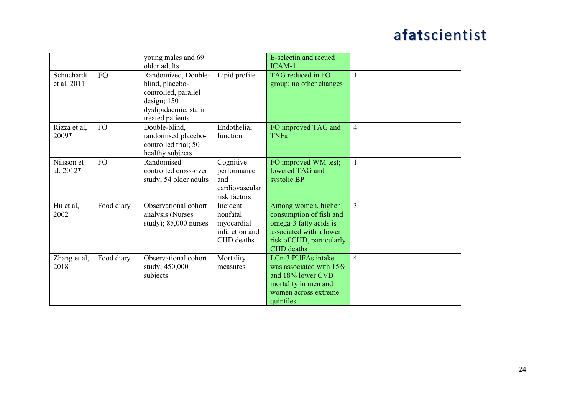|              |            | young males and 69      |                | E-selectin and recued     |                |
|--------------|------------|-------------------------|----------------|---------------------------|----------------|
|              |            | older adults            |                | ICAM-1                    |                |
| Schuchardt   | FO         | Randomized, Double-     | Lipid profile  | TAG reduced in FO         | $\overline{1}$ |
| et al, 2011  |            | blind, placebo-         |                | group; no other changes   |                |
|              |            | controlled, parallel    |                |                           |                |
|              |            | design; 150             |                |                           |                |
|              |            | dyslipidaemic, statin   |                |                           |                |
|              |            | treated patients        |                |                           |                |
| Rizza et al, | <b>FO</b>  | Double-blind,           | Endothelial    | FO improved TAG and       | $\overline{4}$ |
| 2009*        |            | randomised placebo-     | function       | <b>TNFa</b>               |                |
|              |            | controlled trial; 50    |                |                           |                |
|              |            | healthy subjects        |                |                           |                |
| Nilsson et   | <b>FO</b>  | Randomised              | Cognitive      | FO improved WM test;      | $\mathbf{1}$   |
| al, 2012*    |            | controlled cross-over   | performance    | lowered TAG and           |                |
|              |            | study; 54 older adults  | and            | systolic BP               |                |
|              |            |                         | cardiovascular |                           |                |
|              |            |                         | risk factors   |                           |                |
| Hu et al,    | Food diary | Observational cohort    | Incident       | Among women, higher       | 3              |
| 2002         |            | analysis (Nurses        | nonfatal       | consumption of fish and   |                |
|              |            | study); $85,000$ nurses | myocardial     | omega-3 fatty acids is    |                |
|              |            |                         | infarction and | associated with a lower   |                |
|              |            |                         | CHD deaths     | risk of CHD, particularly |                |
|              |            |                         |                | <b>CHD</b> deaths         |                |
| Zhang et al, | Food diary | Observational cohort    | Mortality      | LCn-3 PUFAs intake        | $\overline{4}$ |
| 2018         |            | study; 450,000          | measures       | was associated with 15%   |                |
|              |            | subjects                |                | and 18% lower CVD         |                |
|              |            |                         |                | mortality in men and      |                |
|              |            |                         |                | women across extreme      |                |
|              |            |                         |                | quintiles                 |                |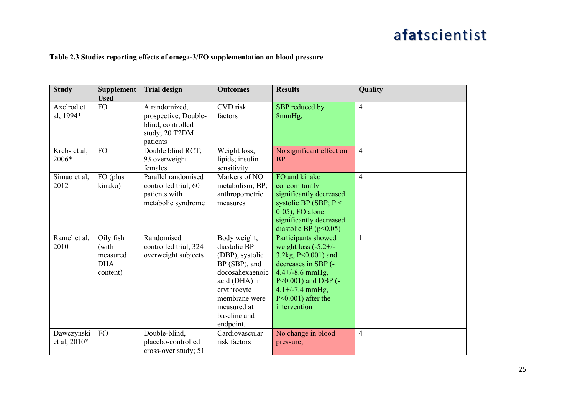#### **Table 2.3 Studies reporting effects of omega-3/FO supplementation on blood pressure**

| <b>Study</b>                 | <b>Supplement</b><br><b>Used</b>                         | <b>Trial design</b>                                                                      | <b>Outcomes</b>                                                                                                                                                                  | <b>Results</b>                                                                                                                                                                                                  | Quality        |
|------------------------------|----------------------------------------------------------|------------------------------------------------------------------------------------------|----------------------------------------------------------------------------------------------------------------------------------------------------------------------------------|-----------------------------------------------------------------------------------------------------------------------------------------------------------------------------------------------------------------|----------------|
| Axelrod et<br>al, 1994*      | FO                                                       | A randomized,<br>prospective, Double-<br>blind, controlled<br>study; 20 T2DM<br>patients | CVD risk<br>factors                                                                                                                                                              | SBP reduced by<br>8mmHg.                                                                                                                                                                                        | $\overline{4}$ |
| Krebs et al,<br>2006*        | <b>FO</b>                                                | Double blind RCT;<br>93 overweight<br>females                                            | Weight loss;<br>lipids; insulin<br>sensitivity                                                                                                                                   | No significant effect on<br><b>BP</b>                                                                                                                                                                           | $\overline{4}$ |
| Simao et al,<br>2012         | FO (plus<br>kinako)                                      | Parallel randomised<br>controlled trial; 60<br>patients with<br>metabolic syndrome       | Markers of NO<br>metabolism; BP;<br>anthropometric<br>measures                                                                                                                   | FO and kinako<br>concomitantly<br>significantly decreased<br>systolic BP (SBP; $P <$<br>$0.05$ ; FO alone<br>significantly decreased<br>diastolic BP $(p<0.05)$                                                 | $\overline{4}$ |
| Ramel et al,<br>2010         | Oily fish<br>(with<br>measured<br><b>DHA</b><br>content) | Randomised<br>controlled trial; 324<br>overweight subjects                               | Body weight,<br>diastolic BP<br>(DBP), systolic<br>BP (SBP), and<br>docosahexaenoic<br>acid (DHA) in<br>erythrocyte<br>membrane were<br>measured at<br>baseline and<br>endpoint. | Participants showed<br>weight loss $(-5.2 +/-$<br>3.2kg, P<0.001) and<br>decreases in SBP (-<br>$4.4 + (-8.6)$ mmHg,<br>$P<0.001$ ) and DBP (-<br>$4.1 + (-7.4)$ mmHg,<br>$P<0.001$ ) after the<br>intervention | $\mathbf{1}$   |
| Dawczynski<br>et al, $2010*$ | <b>FO</b>                                                | Double-blind,<br>placebo-controlled<br>cross-over study; 51                              | Cardiovascular<br>risk factors                                                                                                                                                   | No change in blood<br>pressure;                                                                                                                                                                                 | $\overline{4}$ |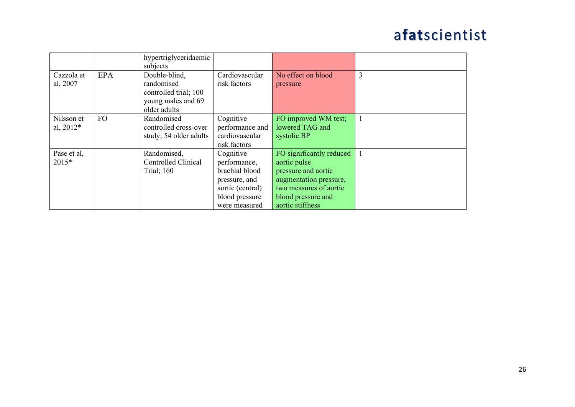|                           |           | hypertriglyceridaemic<br>subjects                                                          |                                                                                                                     |                                                                                                                                                               |   |
|---------------------------|-----------|--------------------------------------------------------------------------------------------|---------------------------------------------------------------------------------------------------------------------|---------------------------------------------------------------------------------------------------------------------------------------------------------------|---|
| Cazzola et<br>al, 2007    | EPA       | Double-blind,<br>randomised<br>controlled trial; 100<br>young males and 69<br>older adults | Cardiovascular<br>risk factors                                                                                      | No effect on blood<br>pressure                                                                                                                                | 3 |
| Nilsson et<br>al, $2012*$ | <b>FO</b> | Randomised<br>controlled cross-over<br>study; 54 older adults                              | Cognitive<br>performance and<br>cardiovascular<br>risk factors                                                      | FO improved WM test;<br>lowered TAG and<br>systolic BP                                                                                                        |   |
| Pase et al,<br>$2015*$    |           | Randomised,<br><b>Controlled Clinical</b><br><b>Trial</b> ; 160                            | Cognitive<br>performance,<br>brachial blood<br>pressure, and<br>aortic (central)<br>blood pressure<br>were measured | FO significantly reduced<br>aortic pulse<br>pressure and aortic<br>augmentation pressure,<br>two measures of aortic<br>blood pressure and<br>aortic stiffness |   |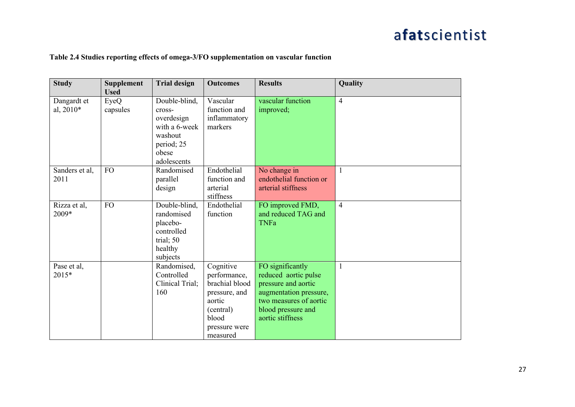#### **Table 2.4 Studies reporting effects of omega-3/FO supplementation on vascular function**

| <b>Study</b>             | <b>Supplement</b><br><b>Used</b> | <b>Trial design</b>                                                                       | <b>Outcomes</b>                                                                                                           | <b>Results</b>                                                                                                                                                | Quality        |
|--------------------------|----------------------------------|-------------------------------------------------------------------------------------------|---------------------------------------------------------------------------------------------------------------------------|---------------------------------------------------------------------------------------------------------------------------------------------------------------|----------------|
| Dangardt et<br>al, 2010* | EyeQ<br>capsules                 | Double-blind,<br>cross-<br>overdesign<br>with a 6-week<br>washout<br>period; 25<br>obese  | Vascular<br>function and<br>inflammatory<br>markers                                                                       | vascular function<br>improved;                                                                                                                                | $\overline{4}$ |
| Sanders et al,<br>2011   | <b>FO</b>                        | adolescents<br>Randomised<br>parallel<br>design                                           | Endothelial<br>function and<br>arterial<br>stiffness                                                                      | No change in<br>endothelial function or<br>arterial stiffness                                                                                                 | 1              |
| Rizza et al,<br>2009*    | <b>FO</b>                        | Double-blind,<br>randomised<br>placebo-<br>controlled<br>trial; 50<br>healthy<br>subjects | Endothelial<br>function                                                                                                   | FO improved FMD,<br>and reduced TAG and<br><b>TNFa</b>                                                                                                        | $\overline{4}$ |
| Pase et al,<br>$2015*$   |                                  | Randomised,<br>Controlled<br>Clinical Trial;<br>160                                       | Cognitive<br>performance,<br>brachial blood<br>pressure, and<br>aortic<br>(central)<br>blood<br>pressure were<br>measured | FO significantly<br>reduced aortic pulse<br>pressure and aortic<br>augmentation pressure,<br>two measures of aortic<br>blood pressure and<br>aortic stiffness | $\mathbf{1}$   |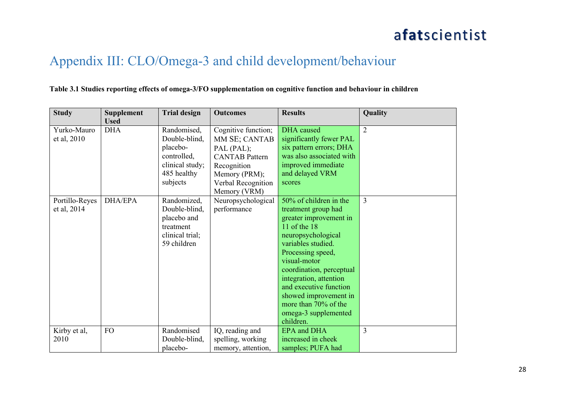#### Appendix III: CLO/Omega-3 and child development/behaviour

#### **Table 3.1 Studies reporting effects of omega-3/FO supplementation on cognitive function and behaviour in children**

| <b>Study</b>                  | <b>Supplement</b><br><b>Used</b> | <b>Trial design</b>                                                                                   | <b>Outcomes</b>                                                                                                                   | <b>Results</b>                                                                                                                                                                                                                                                                                                                                 | Quality        |
|-------------------------------|----------------------------------|-------------------------------------------------------------------------------------------------------|-----------------------------------------------------------------------------------------------------------------------------------|------------------------------------------------------------------------------------------------------------------------------------------------------------------------------------------------------------------------------------------------------------------------------------------------------------------------------------------------|----------------|
| Yurko-Mauro<br>et al, 2010    | <b>DHA</b>                       | Randomised,<br>Double-blind,<br>placebo-<br>controlled,<br>clinical study;<br>485 healthy<br>subjects | Cognitive function;<br>MM SE; CANTAB<br>PAL (PAL);<br><b>CANTAB</b> Pattern<br>Recognition<br>Memory (PRM);<br>Verbal Recognition | <b>DHA</b> caused<br>significantly fewer PAL<br>six pattern errors; DHA<br>was also associated with<br>improved immediate<br>and delayed VRM<br>scores                                                                                                                                                                                         | $\overline{2}$ |
| Portillo-Reyes<br>et al, 2014 | <b>DHA/EPA</b>                   | Randomized,<br>Double-blind,<br>placebo and<br>treatment<br>clinical trial;<br>59 children            | Memory (VRM)<br>Neuropsychological<br>performance                                                                                 | 50% of children in the<br>treatment group had<br>greater improvement in<br>11 of the 18<br>neuropsychological<br>variables studied.<br>Processing speed,<br>visual-motor<br>coordination, perceptual<br>integration, attention<br>and executive function<br>showed improvement in<br>more than 70% of the<br>omega-3 supplemented<br>children. | $\overline{3}$ |
| Kirby et al,<br>2010          | FO                               | Randomised<br>Double-blind,<br>placebo-                                                               | IQ, reading and<br>spelling, working<br>memory, attention,                                                                        | <b>EPA</b> and DHA<br>increased in cheek<br>samples; PUFA had                                                                                                                                                                                                                                                                                  | 3              |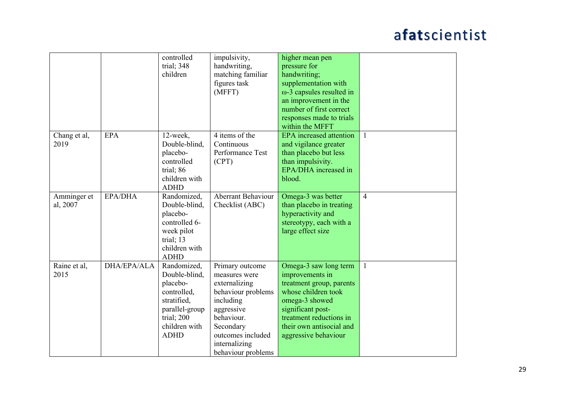|                         |             | controlled<br>trial; 348<br>children                                                                                                   | impulsivity,<br>handwriting,<br>matching familiar<br>figures task<br>(MFFT)                                                                                                               | higher mean pen<br>pressure for<br>handwriting;<br>supplementation with<br>$\omega$ -3 capsules resulted in<br>an improvement in the<br>number of first correct                                                   |                |
|-------------------------|-------------|----------------------------------------------------------------------------------------------------------------------------------------|-------------------------------------------------------------------------------------------------------------------------------------------------------------------------------------------|-------------------------------------------------------------------------------------------------------------------------------------------------------------------------------------------------------------------|----------------|
|                         |             |                                                                                                                                        |                                                                                                                                                                                           | responses made to trials<br>within the MFFT                                                                                                                                                                       |                |
| Chang et al,<br>2019    | <b>EPA</b>  | 12-week,<br>Double-blind,<br>placebo-<br>controlled<br>trial; 86<br>children with<br><b>ADHD</b>                                       | 4 items of the<br>Continuous<br>Performance Test<br>(CPT)                                                                                                                                 | <b>EPA</b> increased attention<br>and vigilance greater<br>than placebo but less<br>than impulsivity.<br>EPA/DHA increased in<br>blood.                                                                           | $\mathbf{1}$   |
| Amminger et<br>al, 2007 | EPA/DHA     | Randomized,<br>Double-blind,<br>placebo-<br>controlled 6-<br>week pilot<br>trial; 13<br>children with<br><b>ADHD</b>                   | <b>Aberrant Behaviour</b><br>Checklist (ABC)                                                                                                                                              | Omega-3 was better<br>than placebo in treating<br>hyperactivity and<br>stereotypy, each with a<br>large effect size                                                                                               | $\overline{4}$ |
| Raine et al,<br>2015    | DHA/EPA/ALA | Randomized,<br>Double-blind,<br>placebo-<br>controlled,<br>stratified,<br>parallel-group<br>trial; 200<br>children with<br><b>ADHD</b> | Primary outcome<br>measures were<br>externalizing<br>behaviour problems<br>including<br>aggressive<br>behaviour.<br>Secondary<br>outcomes included<br>internalizing<br>behaviour problems | Omega-3 saw long term<br>improvements in<br>treatment group, parents<br>whose children took<br>omega-3 showed<br>significant post-<br>treatment reductions in<br>their own antisocial and<br>aggressive behaviour | $\overline{1}$ |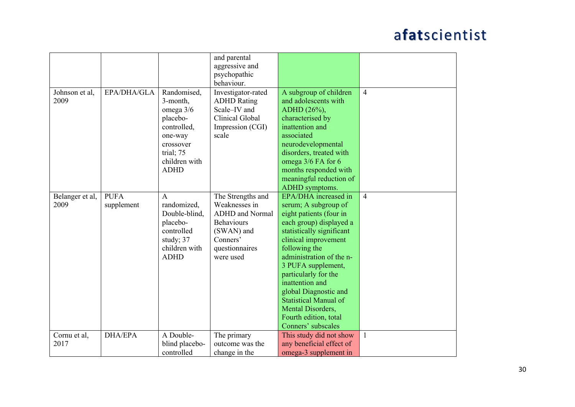|                         |                           |                                                                                                                                      | and parental<br>aggressive and<br>psychopathic<br>behaviour.                                                                               |                                                                                                                                                                                                                                                                                                                                                                                                    |                |
|-------------------------|---------------------------|--------------------------------------------------------------------------------------------------------------------------------------|--------------------------------------------------------------------------------------------------------------------------------------------|----------------------------------------------------------------------------------------------------------------------------------------------------------------------------------------------------------------------------------------------------------------------------------------------------------------------------------------------------------------------------------------------------|----------------|
| Johnson et al,<br>2009  | EPA/DHA/GLA               | Randomised,<br>3-month,<br>omega 3/6<br>placebo-<br>controlled,<br>one-way<br>crossover<br>trial; 75<br>children with<br><b>ADHD</b> | Investigator-rated<br><b>ADHD</b> Rating<br>Scale-IV and<br>Clinical Global<br>Impression (CGI)<br>scale                                   | A subgroup of children<br>and adolescents with<br>ADHD (26%),<br>characterised by<br>inattention and<br>associated<br>neurodevelopmental<br>disorders, treated with<br>omega 3/6 FA for 6<br>months responded with<br>meaningful reduction of<br>ADHD symptoms.                                                                                                                                    | $\overline{4}$ |
| Belanger et al,<br>2009 | <b>PUFA</b><br>supplement | A<br>randomized,<br>Double-blind,<br>placebo-<br>controlled<br>study; 37<br>children with<br><b>ADHD</b>                             | The Strengths and<br>Weaknesses in<br><b>ADHD</b> and Normal<br><b>Behaviours</b><br>(SWAN) and<br>Conners'<br>questionnaires<br>were used | EPA/DHA increased in<br>serum; A subgroup of<br>eight patients (four in<br>each group) displayed a<br>statistically significant<br>clinical improvement<br>following the<br>administration of the n-<br>3 PUFA supplement,<br>particularly for the<br>inattention and<br>global Diagnostic and<br><b>Statistical Manual of</b><br>Mental Disorders,<br>Fourth edition, total<br>Conners' subscales | $\overline{4}$ |
| Cornu et al,<br>2017    | <b>DHA/EPA</b>            | A Double-<br>blind placebo-<br>controlled                                                                                            | The primary<br>outcome was the<br>change in the                                                                                            | This study did not show<br>any beneficial effect of<br>omega-3 supplement in                                                                                                                                                                                                                                                                                                                       | -1             |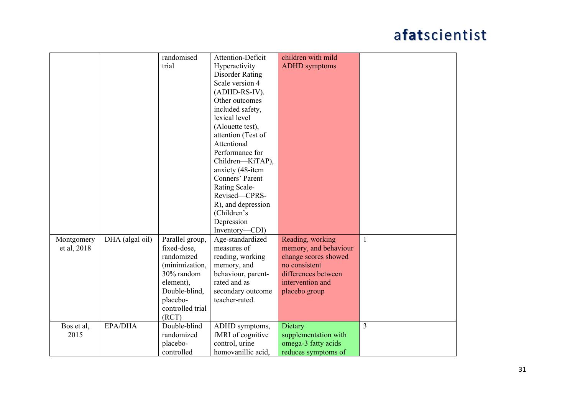|             |                 | randomised       | Attention-Deficit      | children with mild    |              |
|-------------|-----------------|------------------|------------------------|-----------------------|--------------|
|             |                 | trial            | Hyperactivity          | <b>ADHD</b> symptoms  |              |
|             |                 |                  | <b>Disorder Rating</b> |                       |              |
|             |                 |                  | Scale version 4        |                       |              |
|             |                 |                  |                        |                       |              |
|             |                 |                  | (ADHD-RS-IV).          |                       |              |
|             |                 |                  | Other outcomes         |                       |              |
|             |                 |                  | included safety,       |                       |              |
|             |                 |                  | lexical level          |                       |              |
|             |                 |                  | (Alouette test),       |                       |              |
|             |                 |                  | attention (Test of     |                       |              |
|             |                 |                  | Attentional            |                       |              |
|             |                 |                  | Performance for        |                       |              |
|             |                 |                  | Children-KiTAP),       |                       |              |
|             |                 |                  | anxiety (48-item       |                       |              |
|             |                 |                  | Conners' Parent        |                       |              |
|             |                 |                  | Rating Scale-          |                       |              |
|             |                 |                  | Revised-CPRS-          |                       |              |
|             |                 |                  | R), and depression     |                       |              |
|             |                 |                  | (Children's            |                       |              |
|             |                 |                  | Depression             |                       |              |
|             |                 |                  | Inventory-CDI)         |                       |              |
| Montgomery  | DHA (algal oil) | Parallel group,  | Age-standardized       | Reading, working      | $\mathbf{1}$ |
| et al, 2018 |                 | fixed-dose,      | measures of            | memory, and behaviour |              |
|             |                 | randomized       | reading, working       | change scores showed  |              |
|             |                 | (minimization,   | memory, and            | no consistent         |              |
|             |                 | 30% random       | behaviour, parent-     | differences between   |              |
|             |                 | element),        | rated and as           | intervention and      |              |
|             |                 | Double-blind,    | secondary outcome      | placebo group         |              |
|             |                 | placebo-         | teacher-rated.         |                       |              |
|             |                 | controlled trial |                        |                       |              |
|             |                 | (RCT)            |                        |                       |              |
| Bos et al,  | EPA/DHA         | Double-blind     | ADHD symptoms,         | Dietary               | 3            |
| 2015        |                 | randomized       | fMRI of cognitive      | supplementation with  |              |
|             |                 | placebo-         | control, urine         | omega-3 fatty acids   |              |
|             |                 | controlled       | homovanillic acid,     | reduces symptoms of   |              |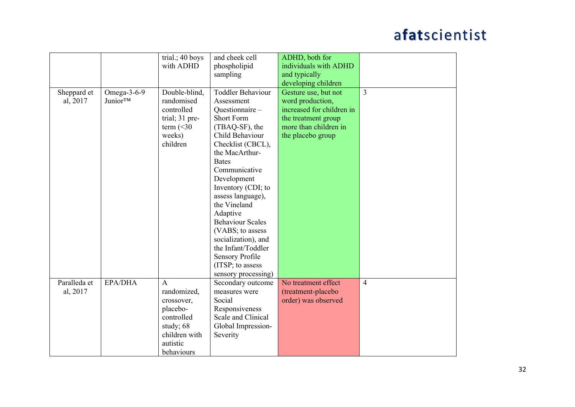|              |                             | trial.; 40 boys | and cheek cell           | ADHD, both for            |                |
|--------------|-----------------------------|-----------------|--------------------------|---------------------------|----------------|
|              |                             | with ADHD       |                          | individuals with ADHD     |                |
|              |                             |                 | phospholipid             |                           |                |
|              |                             |                 | sampling                 | and typically             |                |
|              |                             |                 |                          | developing children       |                |
| Sheppard et  | Omega- $3-6-9$              | Double-blind,   | <b>Toddler Behaviour</b> | Gesture use, but not      | 3              |
| al, 2017     | <b>Junior</b> <sup>TM</sup> | randomised      | Assessment               | word production,          |                |
|              |                             | controlled      | Questionnaire -          | increased for children in |                |
|              |                             | trial; 31 pre-  | <b>Short Form</b>        | the treatment group       |                |
|              |                             | term $(<30$     | (TBAQ-SF), the           | more than children in     |                |
|              |                             | weeks)          | Child Behaviour          | the placebo group         |                |
|              |                             | children        | Checklist (CBCL),        |                           |                |
|              |                             |                 | the MacArthur-           |                           |                |
|              |                             |                 | <b>Bates</b>             |                           |                |
|              |                             |                 | Communicative            |                           |                |
|              |                             |                 | Development              |                           |                |
|              |                             |                 | Inventory (CDI; to       |                           |                |
|              |                             |                 | assess language),        |                           |                |
|              |                             |                 | the Vineland             |                           |                |
|              |                             |                 | Adaptive                 |                           |                |
|              |                             |                 | <b>Behaviour Scales</b>  |                           |                |
|              |                             |                 | (VABS; to assess         |                           |                |
|              |                             |                 | socialization), and      |                           |                |
|              |                             |                 | the Infant/Toddler       |                           |                |
|              |                             |                 | <b>Sensory Profile</b>   |                           |                |
|              |                             |                 | (ITSP; to assess         |                           |                |
|              |                             |                 | sensory processing)      |                           |                |
| Paralleda et | EPA/DHA                     | $\mathbf{A}$    | Secondary outcome        | No treatment effect       | $\overline{4}$ |
| al, 2017     |                             | randomized,     | measures were            | (treatment-placebo        |                |
|              |                             | crossover,      | Social                   | order) was observed       |                |
|              |                             | placebo-        | Responsiveness           |                           |                |
|              |                             | controlled      | Scale and Clinical       |                           |                |
|              |                             | study; 68       | Global Impression-       |                           |                |
|              |                             | children with   |                          |                           |                |
|              |                             |                 | Severity                 |                           |                |
|              |                             | autistic        |                          |                           |                |
|              |                             | behaviours      |                          |                           |                |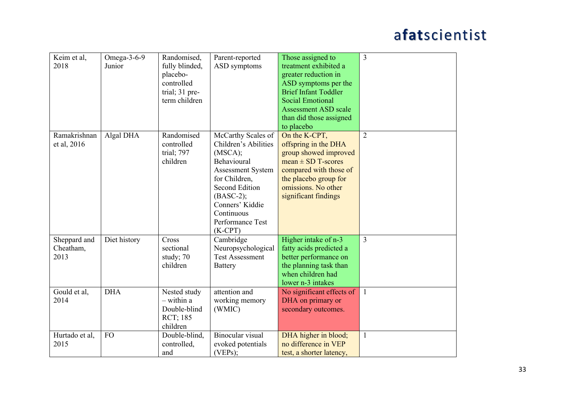| Keim et al,<br>2018               | Omega- $3-6-9$<br>Junior | Randomised,<br>fully blinded,<br>placebo-<br>controlled<br>trial; 31 pre-<br>term children | Parent-reported<br>ASD symptoms                                                                                                                                                                                             | Those assigned to<br>treatment exhibited a<br>greater reduction in<br>ASD symptoms per the<br><b>Brief Infant Toddler</b><br><b>Social Emotional</b><br><b>Assessment ASD scale</b><br>than did those assigned<br>to placebo | $\overline{3}$ |
|-----------------------------------|--------------------------|--------------------------------------------------------------------------------------------|-----------------------------------------------------------------------------------------------------------------------------------------------------------------------------------------------------------------------------|------------------------------------------------------------------------------------------------------------------------------------------------------------------------------------------------------------------------------|----------------|
| Ramakrishnan<br>et al, 2016       | Algal DHA                | Randomised<br>controlled<br>trial; 797<br>children                                         | McCarthy Scales of<br>Children's Abilities<br>(MSCA);<br>Behavioural<br><b>Assessment System</b><br>for Children,<br><b>Second Edition</b><br>$(BASC-2);$<br>Conners' Kiddie<br>Continuous<br>Performance Test<br>$(K-CPT)$ | On the K-CPT,<br>offspring in the DHA<br>group showed improved<br>$mean \pm SD$ T-scores<br>compared with those of<br>the placebo group for<br>omissions. No other<br>significant findings                                   | $\overline{2}$ |
| Sheppard and<br>Cheatham,<br>2013 | Diet history             | Cross<br>sectional<br>study; 70<br>children                                                | Cambridge<br>Neuropsychological<br><b>Test Assessment</b><br><b>Battery</b>                                                                                                                                                 | Higher intake of n-3<br>fatty acids predicted a<br>better performance on<br>the planning task than<br>when children had<br>lower n-3 intakes                                                                                 | 3              |
| Gould et al,<br>2014              | <b>DHA</b>               | Nested study<br>- within a<br>Double-blind<br>RCT; 185<br>children                         | attention and<br>working memory<br>(WMIC)                                                                                                                                                                                   | No significant effects of<br>DHA on primary or<br>secondary outcomes.                                                                                                                                                        | $\mathbf{1}$   |
| Hurtado et al,<br>2015            | <b>FO</b>                | Double-blind,<br>controlled,<br>and                                                        | Binocular visual<br>evoked potentials<br>(VEPs);                                                                                                                                                                            | DHA higher in blood;<br>no difference in VEP<br>test, a shorter latency,                                                                                                                                                     | $\mathbf{1}$   |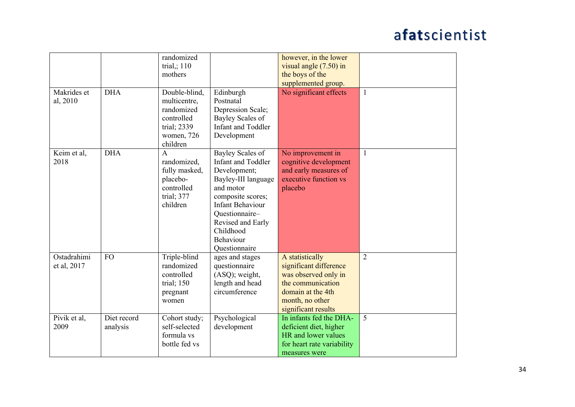|                            |                         | randomized<br>trial,; $110$<br>mothers                                                             |                                                                                                                                                                                                                                     | however, in the lower<br>visual angle $(7.50)$ in<br>the boys of the                                                                                  |                |
|----------------------------|-------------------------|----------------------------------------------------------------------------------------------------|-------------------------------------------------------------------------------------------------------------------------------------------------------------------------------------------------------------------------------------|-------------------------------------------------------------------------------------------------------------------------------------------------------|----------------|
|                            |                         |                                                                                                    |                                                                                                                                                                                                                                     | supplemented group.                                                                                                                                   |                |
| Makrides et<br>al, 2010    | <b>DHA</b>              | Double-blind,<br>multicentre,<br>randomized<br>controlled<br>trial; 2339<br>women, 726<br>children | Edinburgh<br>Postnatal<br>Depression Scale;<br>Bayley Scales of<br><b>Infant and Toddler</b><br>Development                                                                                                                         | No significant effects                                                                                                                                | 1              |
| Keim et al,<br>2018        | <b>DHA</b>              | $\overline{A}$<br>randomized,<br>fully masked,<br>placebo-<br>controlled<br>trial; 377<br>children | Bayley Scales of<br><b>Infant and Toddler</b><br>Development;<br>Bayley-III language<br>and motor<br>composite scores;<br><b>Infant Behaviour</b><br>Questionnaire-<br>Revised and Early<br>Childhood<br>Behaviour<br>Questionnaire | No improvement in<br>cognitive development<br>and early measures of<br>executive function vs<br>placebo                                               | $\mathbf{1}$   |
| Ostadrahimi<br>et al, 2017 | <b>FO</b>               | Triple-blind<br>randomized<br>controlled<br>trial; $150$<br>pregnant<br>women                      | ages and stages<br>questionnaire<br>(ASQ); weight,<br>length and head<br>circumference                                                                                                                                              | A statistically<br>significant difference<br>was observed only in<br>the communication<br>domain at the 4th<br>month, no other<br>significant results | $\overline{2}$ |
| Pivik et al,<br>2009       | Diet record<br>analysis | Cohort study;<br>self-selected<br>formula vs<br>bottle fed vs                                      | Psychological<br>development                                                                                                                                                                                                        | In infants fed the DHA-<br>deficient diet, higher<br>HR and lower values<br>for heart rate variability<br>measures were                               | 5              |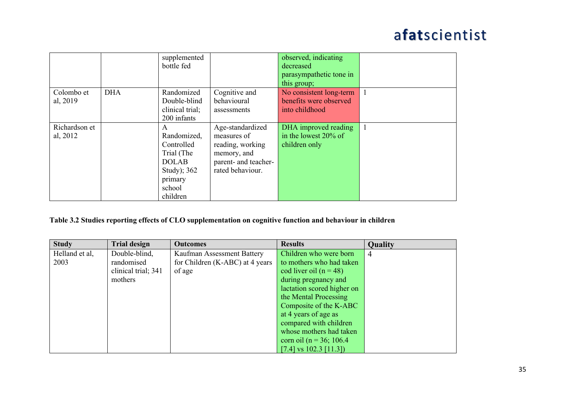|               |            | supplemented    |                      | observed, indicating    |  |
|---------------|------------|-----------------|----------------------|-------------------------|--|
|               |            | bottle fed      |                      | decreased               |  |
|               |            |                 |                      | parasympathetic tone in |  |
|               |            |                 |                      | this group;             |  |
| Colombo et    | <b>DHA</b> | Randomized      | Cognitive and        | No consistent long-term |  |
| al, 2019      |            | Double-blind    | behavioural          | benefits were observed  |  |
|               |            | clinical trial; | assessments          | into childhood          |  |
|               |            | 200 infants     |                      |                         |  |
| Richardson et |            | A               | Age-standardized     | DHA improved reading    |  |
| al, 2012      |            | Randomized,     | measures of          | in the lowest $20\%$ of |  |
|               |            | Controlled      | reading, working     | children only           |  |
|               |            | Trial (The      | memory, and          |                         |  |
|               |            | <b>DOLAB</b>    | parent- and teacher- |                         |  |
|               |            | Study); 362     | rated behaviour.     |                         |  |
|               |            | primary         |                      |                         |  |
|               |            | school          |                      |                         |  |
|               |            | children        |                      |                         |  |

#### **Table 3.2 Studies reporting effects of CLO supplementation on cognitive function and behaviour in children**

| <b>Study</b>   | <b>Trial design</b> | <b>Outcomes</b>                 | <b>Results</b>              | <b>Quality</b> |
|----------------|---------------------|---------------------------------|-----------------------------|----------------|
| Helland et al, | Double-blind,       | Kaufman Assessment Battery      | Children who were born      | $\overline{4}$ |
| 2003           | randomised          | for Children (K-ABC) at 4 years | to mothers who had taken    |                |
|                | clinical trial; 341 | of age                          | cod liver oil $(n = 48)$    |                |
|                | mothers             |                                 | during pregnancy and        |                |
|                |                     |                                 | lactation scored higher on  |                |
|                |                     |                                 | the Mental Processing       |                |
|                |                     |                                 | Composite of the K-ABC      |                |
|                |                     |                                 | at 4 years of age as        |                |
|                |                     |                                 | compared with children      |                |
|                |                     |                                 | whose mothers had taken     |                |
|                |                     |                                 | corn oil ( $n = 36$ ; 106.4 |                |
|                |                     |                                 | [7.4] vs 102.3 [11.3])      |                |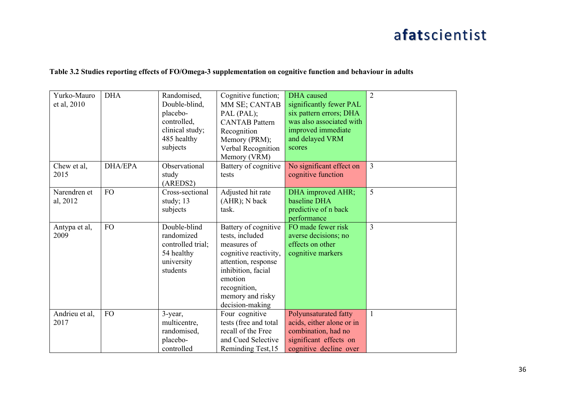#### **Table 3.2 Studies reporting effects of FO/Omega-3 supplementation on cognitive function and behaviour in adults**

|      | Yurko-Mauro<br>et al, 2010 | <b>DHA</b>     | Randomised,<br>Double-blind,<br>placebo-<br>controlled,<br>clinical study;<br>485 healthy<br>subjects | Cognitive function;<br>MM SE; CANTAB<br>PAL (PAL);<br><b>CANTAB</b> Pattern<br>Recognition<br>Memory (PRM);<br>Verbal Recognition<br>Memory (VRM)                                              | <b>DHA</b> caused<br>significantly fewer PAL<br>six pattern errors; DHA<br>was also associated with<br>improved immediate<br>and delayed VRM<br>scores | $\overline{2}$ |
|------|----------------------------|----------------|-------------------------------------------------------------------------------------------------------|------------------------------------------------------------------------------------------------------------------------------------------------------------------------------------------------|--------------------------------------------------------------------------------------------------------------------------------------------------------|----------------|
| 2015 | Chew et al,                | <b>DHA/EPA</b> | Observational<br>study<br>(AREDS2)                                                                    | Battery of cognitive<br>tests                                                                                                                                                                  | No significant effect on<br>cognitive function                                                                                                         | $\overline{3}$ |
|      | Narendren et<br>al, 2012   | <b>FO</b>      | Cross-sectional<br>study; 13<br>subjects                                                              | Adjusted hit rate<br>(AHR); N back<br>task.                                                                                                                                                    | DHA improved AHR;<br>baseline DHA<br>predictive of n back<br>performance                                                                               | 5              |
| 2009 | Antypa et al,              | <b>FO</b>      | Double-blind<br>randomized<br>controlled trial;<br>54 healthy<br>university<br>students               | Battery of cognitive<br>tests, included<br>measures of<br>cognitive reactivity,<br>attention, response<br>inhibition, facial<br>emotion<br>recognition,<br>memory and risky<br>decision-making | FO made fewer risk<br>averse decisions; no<br>effects on other<br>cognitive markers                                                                    | 3              |
| 2017 | Andrieu et al,             | <b>FO</b>      | 3-year,<br>multicentre,<br>randomised,<br>placebo-<br>controlled                                      | Four cognitive<br>tests (free and total<br>recall of the Free<br>and Cued Selective<br>Reminding Test, 15                                                                                      | Polyunsaturated fatty<br>acids, either alone or in<br>combination, had no<br>significant effects on<br>cognitive decline over                          | $\mathbf{1}$   |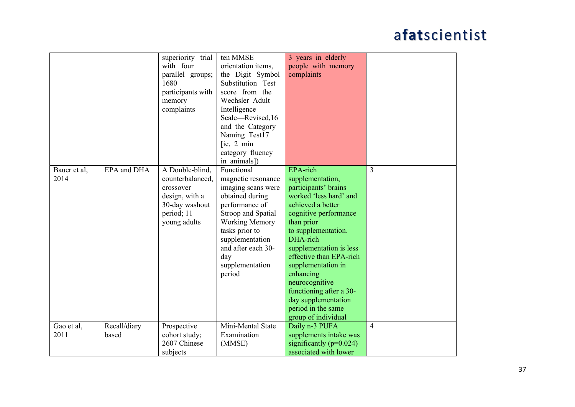| Bauer et al,       | EPA and DHA           | superiority trial<br>with four<br>parallel groups;<br>1680<br>participants with<br>memory<br>complaints<br>A Double-blind, | ten MMSE<br>orientation items,<br>the Digit Symbol<br>Substitution Test<br>score from the<br>Wechsler Adult<br>Intelligence<br>Scale-Revised, 16<br>and the Category<br>Naming Test17<br>[ie, 2 min]<br>category fluency<br>in animals])<br>Functional | 3 years in elderly<br>people with memory<br>complaints<br>EPA-rich                                                                                                                                                                                                                                                                                                          | $\overline{3}$ |
|--------------------|-----------------------|----------------------------------------------------------------------------------------------------------------------------|--------------------------------------------------------------------------------------------------------------------------------------------------------------------------------------------------------------------------------------------------------|-----------------------------------------------------------------------------------------------------------------------------------------------------------------------------------------------------------------------------------------------------------------------------------------------------------------------------------------------------------------------------|----------------|
| 2014               |                       | counterbalanced,<br>crossover<br>design, with a<br>30-day washout<br>period; 11<br>young adults                            | magnetic resonance<br>imaging scans were<br>obtained during<br>performance of<br>Stroop and Spatial<br><b>Working Memory</b><br>tasks prior to<br>supplementation<br>and after each 30-<br>day<br>supplementation<br>period                            | supplementation,<br>participants' brains<br>worked 'less hard' and<br>achieved a better<br>cognitive performance<br>than prior<br>to supplementation.<br>DHA-rich<br>supplementation is less<br>effective than EPA-rich<br>supplementation in<br>enhancing<br>neurocognitive<br>functioning after a 30-<br>day supplementation<br>period in the same<br>group of individual |                |
| Gao et al,<br>2011 | Recall/diary<br>based | Prospective<br>cohort study;<br>2607 Chinese<br>subjects                                                                   | Mini-Mental State<br>Examination<br>(MMSE)                                                                                                                                                                                                             | Daily n-3 PUFA<br>supplements intake was<br>significantly ( $p=0.024$ )<br>associated with lower                                                                                                                                                                                                                                                                            | $\overline{4}$ |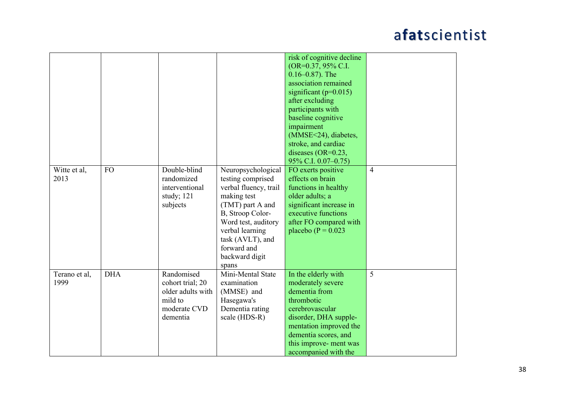|                       |            |                                                                                            |                                                                                                                                                                                                                                 | risk of cognitive decline<br>(OR=0.37, 95% C.I.<br>$0.16 - 0.87$ ). The<br>association remained<br>significant ( $p=0.015$ )<br>after excluding<br>participants with<br>baseline cognitive<br>impairment<br>(MMSE<24), diabetes,<br>stroke, and cardiac<br>diseases (OR=0.23, |                |
|-----------------------|------------|--------------------------------------------------------------------------------------------|---------------------------------------------------------------------------------------------------------------------------------------------------------------------------------------------------------------------------------|-------------------------------------------------------------------------------------------------------------------------------------------------------------------------------------------------------------------------------------------------------------------------------|----------------|
| Witte et al,<br>2013  | <b>FO</b>  | Double-blind<br>randomized<br>interventional<br>study; 121<br>subjects                     | Neuropsychological<br>testing comprised<br>verbal fluency, trail<br>making test<br>(TMT) part A and<br>B, Stroop Color-<br>Word test, auditory<br>verbal learning<br>task (AVLT), and<br>forward and<br>backward digit<br>spans | 95% C.I. 0.07-0.75)<br>FO exerts positive<br>effects on brain<br>functions in healthy<br>older adults; a<br>significant increase in<br>executive functions<br>after FO compared with<br>placebo ( $P = 0.023$                                                                 | $\overline{4}$ |
| Terano et al,<br>1999 | <b>DHA</b> | Randomised<br>cohort trial; 20<br>older adults with<br>mild to<br>moderate CVD<br>dementia | Mini-Mental State<br>examination<br>(MMSE) and<br>Hasegawa's<br>Dementia rating<br>scale (HDS-R)                                                                                                                                | In the elderly with<br>moderately severe<br>dementia from<br>thrombotic<br>cerebrovascular<br>disorder, DHA supple-<br>mentation improved the<br>dementia scores, and<br>this improve- ment was<br>accompanied with the                                                       | 5              |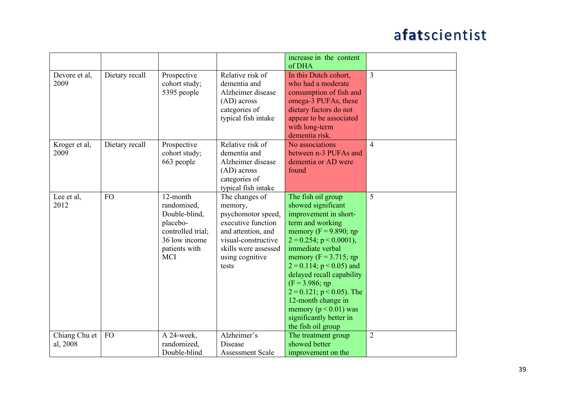|                           |                |                                                                                                                           |                                                                                                                                                                        | increase in the content<br>of DHA                                                                                                                                                                                                                                                                                                                                                                                          |                |
|---------------------------|----------------|---------------------------------------------------------------------------------------------------------------------------|------------------------------------------------------------------------------------------------------------------------------------------------------------------------|----------------------------------------------------------------------------------------------------------------------------------------------------------------------------------------------------------------------------------------------------------------------------------------------------------------------------------------------------------------------------------------------------------------------------|----------------|
| Devore et al,<br>2009     | Dietary recall | Prospective<br>cohort study;<br>5395 people                                                                               | Relative risk of<br>dementia and<br>Alzheimer disease<br>$(AD)$ across<br>categories of<br>typical fish intake                                                         | In this Dutch cohort,<br>who had a moderate<br>consumption of fish and<br>omega-3 PUFAs, these<br>dietary factors do not<br>appear to be associated<br>with long-term<br>dementia risk.                                                                                                                                                                                                                                    | $\overline{3}$ |
| Kroger et al,<br>2009     | Dietary recall | Prospective<br>cohort study;<br>663 people                                                                                | Relative risk of<br>dementia and<br>Alzheimer disease<br>$(AD)$ across<br>categories of<br>typical fish intake                                                         | No associations<br>between n-3 PUFAs and<br>dementia or AD were<br>found                                                                                                                                                                                                                                                                                                                                                   | $\overline{4}$ |
| Lee et al,<br>2012        | <b>FO</b>      | 12-month<br>randomised,<br>Double-blind,<br>placebo-<br>controlled trial;<br>36 low income<br>patients with<br><b>MCI</b> | The changes of<br>memory,<br>psychomotor speed,<br>executive function<br>and attention, and<br>visual-constructive<br>skills were assessed<br>using cognitive<br>tests | The fish oil group<br>showed significant<br>improvement in short-<br>term and working<br>memory ( $F = 9.890$ ; np<br>$2 = 0.254$ ; p < 0.0001),<br>immediate verbal<br>memory ( $F = 3.715$ ; np<br>$2 = 0.114$ ; p < 0.05) and<br>delayed recall capability<br>$(F = 3.986; \eta p)$<br>$2 = 0.121$ ; p < 0.05). The<br>12-month change in<br>memory ( $p < 0.01$ ) was<br>significantly better in<br>the fish oil group | 5              |
| Chiang Chu et<br>al, 2008 | <b>FO</b>      | A 24-week,<br>randomized,<br>Double-blind                                                                                 | Alzheimer's<br>Disease<br><b>Assessment Scale</b>                                                                                                                      | The treatment group<br>showed better<br>improvement on the                                                                                                                                                                                                                                                                                                                                                                 | $\overline{2}$ |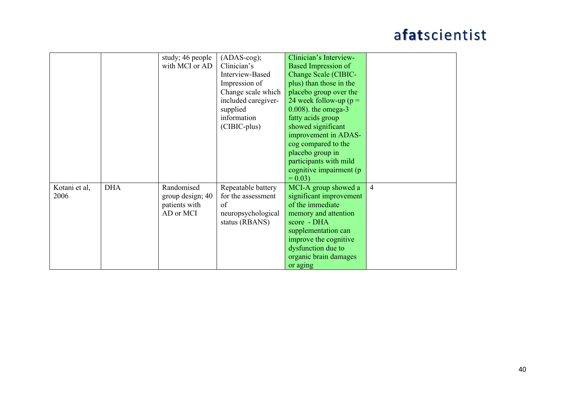|               |            | study; 46 people | $(ADAS-cog);$       | Clinician's Interview-    |                          |
|---------------|------------|------------------|---------------------|---------------------------|--------------------------|
|               |            | with MCI or AD   | Clinician's         | Based Impression of       |                          |
|               |            |                  | Interview-Based     | Change Scale (CIBIC-      |                          |
|               |            |                  | Impression of       | plus) than those in the   |                          |
|               |            |                  | Change scale which  | placebo group over the    |                          |
|               |            |                  | included caregiver- | 24 week follow-up ( $p =$ |                          |
|               |            |                  | supplied            | $0.008$ ). the omega-3    |                          |
|               |            |                  | information         | fatty acids group         |                          |
|               |            |                  | (CIBIC-plus)        | showed significant        |                          |
|               |            |                  |                     | improvement in ADAS-      |                          |
|               |            |                  |                     | cog compared to the       |                          |
|               |            |                  |                     | placebo group in          |                          |
|               |            |                  |                     | participants with mild    |                          |
|               |            |                  |                     | cognitive impairment (p   |                          |
|               |            |                  |                     | $= 0.03$                  |                          |
| Kotani et al, | <b>DHA</b> | Randomised       | Repeatable battery  | MCI-A group showed a      | $\overline{\mathcal{A}}$ |
| 2006          |            | group design; 40 | for the assessment  | significant improvement   |                          |
|               |            | patients with    | of                  | of the immediate          |                          |
|               |            | AD or MCI        | neuropsychological  | memory and attention      |                          |
|               |            |                  | status (RBANS)      | score - DHA               |                          |
|               |            |                  |                     | supplementation can       |                          |
|               |            |                  |                     | improve the cognitive     |                          |
|               |            |                  |                     |                           |                          |
|               |            |                  |                     | dysfunction due to        |                          |
|               |            |                  |                     | organic brain damages     |                          |
|               |            |                  |                     | or aging                  |                          |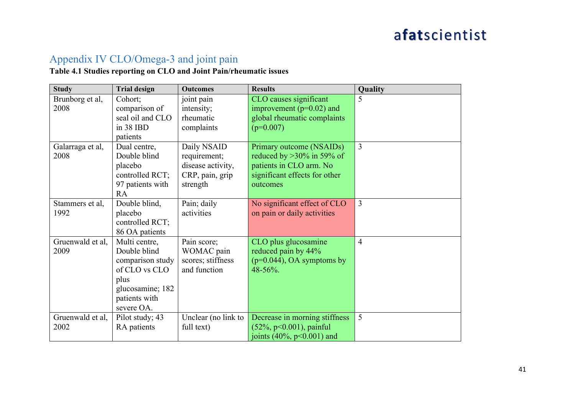#### Appendix IV CLO/Omega-3 and joint pain

#### **Table 4.1 Studies reporting on CLO and Joint Pain/rheumatic issues**

| <b>Study</b>     | <b>Trial design</b> | <b>Outcomes</b>     | <b>Results</b>                | Quality        |
|------------------|---------------------|---------------------|-------------------------------|----------------|
| Brunborg et al,  | Cohort;             | joint pain          | CLO causes significant        | 5              |
| 2008             | comparison of       | intensity;          | improvement ( $p=0.02$ ) and  |                |
|                  | seal oil and CLO    | rheumatic           | global rheumatic complaints   |                |
|                  | in 38 IBD           | complaints          | $(p=0.007)$                   |                |
|                  | patients            |                     |                               |                |
| Galarraga et al, | Dual centre,        | Daily NSAID         | Primary outcome (NSAIDs)      | $\overline{3}$ |
| 2008             | Double blind        | requirement;        | reduced by $>30\%$ in 59% of  |                |
|                  | placebo             | disease activity,   | patients in CLO arm. No       |                |
|                  | controlled RCT;     | CRP, pain, grip     | significant effects for other |                |
|                  | 97 patients with    | strength            | outcomes                      |                |
|                  | <b>RA</b>           |                     |                               |                |
| Stammers et al,  | Double blind,       | Pain; daily         | No significant effect of CLO  | $\overline{3}$ |
| 1992             | placebo             | activities          | on pain or daily activities   |                |
|                  | controlled RCT;     |                     |                               |                |
|                  | 86 OA patients      |                     |                               |                |
| Gruenwald et al, | Multi centre,       | Pain score;         | CLO plus glucosamine          | $\overline{4}$ |
| 2009             | Double blind        | WOMAC pain          | reduced pain by 44%           |                |
|                  | comparison study    | scores; stiffness   | $(p=0.044)$ , OA symptoms by  |                |
|                  | of CLO vs CLO       | and function        | 48-56%.                       |                |
|                  | plus                |                     |                               |                |
|                  | glucosamine; 182    |                     |                               |                |
|                  | patients with       |                     |                               |                |
|                  | severe OA.          |                     |                               |                |
| Gruenwald et al, | Pilot study; 43     | Unclear (no link to | Decrease in morning stiffness | 5              |
| 2002             | RA patients         | full text)          | $(52\%, p<0.001)$ , painful   |                |
|                  |                     |                     | joints $(40\%, p<0.001)$ and  |                |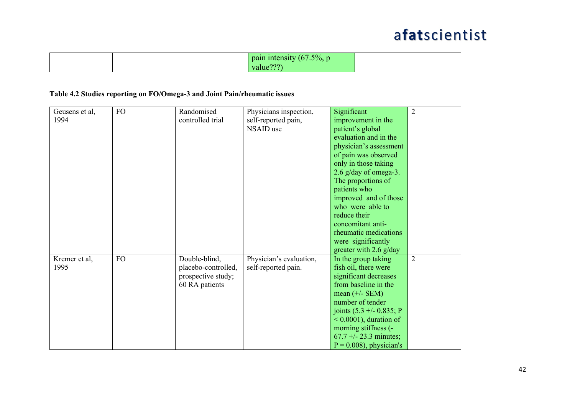|  | $-5\%$ .<br>nair<br>THILE<br>$\sim$ $\sim$ |  |
|--|--------------------------------------------|--|
|--|--------------------------------------------|--|

#### **Table 4.2 Studies reporting on FO/Omega-3 and Joint Pain/rheumatic issues**

| Geusens et al, | <b>FO</b> | Randomised          | Physicians inspection,  | Significant                 | $\overline{2}$ |
|----------------|-----------|---------------------|-------------------------|-----------------------------|----------------|
| 1994           |           | controlled trial    | self-reported pain,     | improvement in the          |                |
|                |           |                     | NSAID use               | patient's global            |                |
|                |           |                     |                         | evaluation and in the       |                |
|                |           |                     |                         | physician's assessment      |                |
|                |           |                     |                         | of pain was observed        |                |
|                |           |                     |                         | only in those taking        |                |
|                |           |                     |                         | $2.6$ g/day of omega-3.     |                |
|                |           |                     |                         | The proportions of          |                |
|                |           |                     |                         | patients who                |                |
|                |           |                     |                         | improved and of those       |                |
|                |           |                     |                         | who were able to            |                |
|                |           |                     |                         | reduce their                |                |
|                |           |                     |                         | concomitant anti-           |                |
|                |           |                     |                         | rheumatic medications       |                |
|                |           |                     |                         | were significantly          |                |
|                |           |                     |                         | greater with 2.6 $g/day$    |                |
| Kremer et al,  | <b>FO</b> | Double-blind,       | Physician's evaluation, | In the group taking         | $\overline{2}$ |
| 1995           |           | placebo-controlled, | self-reported pain.     | fish oil, there were        |                |
|                |           | prospective study;  |                         | significant decreases       |                |
|                |           | 60 RA patients      |                         | from baseline in the        |                |
|                |           |                     |                         | mean $(+/-$ SEM)            |                |
|                |           |                     |                         | number of tender            |                |
|                |           |                     |                         | joints $(5.3 + -0.835; P)$  |                |
|                |           |                     |                         | $\leq 0.0001$ , duration of |                |
|                |           |                     |                         | morning stiffness (-        |                |
|                |           |                     |                         | $67.7 + - 23.3$ minutes;    |                |
|                |           |                     |                         | $P = 0.008$ , physician's   |                |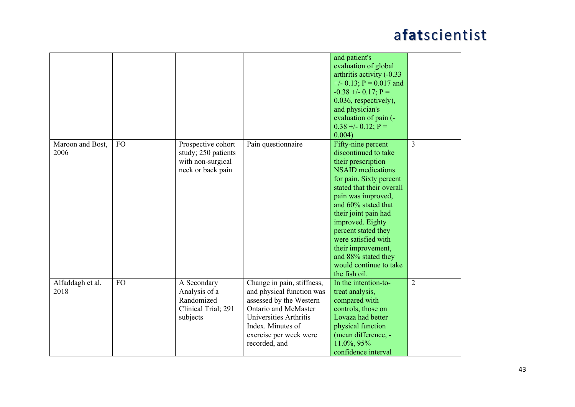|                          |           |                                                                                     |                                                                                                                                                                                                      | and patient's<br>evaluation of global<br>arthritis activity (-0.33<br>$+/-$ 0.13; P = 0.017 and<br>$-0.38 + -0.17$ ; P =<br>0.036, respectively),<br>and physician's<br>evaluation of pain (-<br>$0.38 + -0.12$ ; P =                                                                                                                                                                         |                |
|--------------------------|-----------|-------------------------------------------------------------------------------------|------------------------------------------------------------------------------------------------------------------------------------------------------------------------------------------------------|-----------------------------------------------------------------------------------------------------------------------------------------------------------------------------------------------------------------------------------------------------------------------------------------------------------------------------------------------------------------------------------------------|----------------|
| Maroon and Bost,<br>2006 | <b>FO</b> | Prospective cohort<br>study; 250 patients<br>with non-surgical<br>neck or back pain | Pain questionnaire                                                                                                                                                                                   | 0.004)<br>Fifty-nine percent<br>discontinued to take<br>their prescription<br><b>NSAID</b> medications<br>for pain. Sixty percent<br>stated that their overall<br>pain was improved,<br>and 60% stated that<br>their joint pain had<br>improved. Eighty<br>percent stated they<br>were satisfied with<br>their improvement,<br>and 88% stated they<br>would continue to take<br>the fish oil. | $\overline{3}$ |
| Alfaddagh et al,<br>2018 | <b>FO</b> | A Secondary<br>Analysis of a<br>Randomized<br>Clinical Trial; 291<br>subjects       | Change in pain, stiffness,<br>and physical function was<br>assessed by the Western<br>Ontario and McMaster<br>Universities Arthritis<br>Index. Minutes of<br>exercise per week were<br>recorded, and | In the intention-to-<br>treat analysis,<br>compared with<br>controls, those on<br>Lovaza had better<br>physical function<br>(mean difference, -<br>11.0%, 95%<br>confidence interval                                                                                                                                                                                                          | $\overline{2}$ |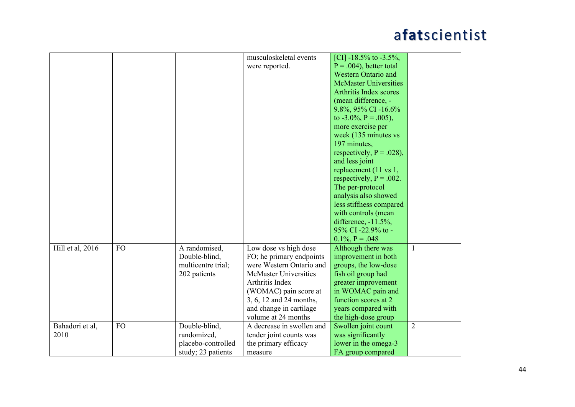|                  |           |                    | musculoskeletal events       | [CI] -18.5% to -3.5%,        |                |
|------------------|-----------|--------------------|------------------------------|------------------------------|----------------|
|                  |           |                    | were reported.               | $P = .004$ , better total    |                |
|                  |           |                    |                              | <b>Western Ontario and</b>   |                |
|                  |           |                    |                              | <b>McMaster Universities</b> |                |
|                  |           |                    |                              | Arthritis Index scores       |                |
|                  |           |                    |                              | (mean difference, -          |                |
|                  |           |                    |                              | 9.8%, 95% CI -16.6%          |                |
|                  |           |                    |                              | to $-3.0\%$ , P = .005),     |                |
|                  |           |                    |                              | more exercise per            |                |
|                  |           |                    |                              | week (135 minutes vs         |                |
|                  |           |                    |                              | 197 minutes,                 |                |
|                  |           |                    |                              | respectively, $P = .028$ ),  |                |
|                  |           |                    |                              | and less joint               |                |
|                  |           |                    |                              | replacement (11 vs 1,        |                |
|                  |           |                    |                              | respectively, $P = .002$ .   |                |
|                  |           |                    |                              | The per-protocol             |                |
|                  |           |                    |                              | analysis also showed         |                |
|                  |           |                    |                              | less stiffness compared      |                |
|                  |           |                    |                              | with controls (mean          |                |
|                  |           |                    |                              | difference, $-11.5\%$ ,      |                |
|                  |           |                    |                              | 95% CI-22.9% to -            |                |
|                  |           |                    |                              | $0.1\%$ , P = .048           |                |
| Hill et al, 2016 | <b>FO</b> | A randomised,      | Low dose vs high dose        | Although there was           | $\mathbf{1}$   |
|                  |           | Double-blind,      | FO; he primary endpoints     | improvement in both          |                |
|                  |           | multicentre trial; | were Western Ontario and     | groups, the low-dose         |                |
|                  |           | 202 patients       | <b>McMaster Universities</b> | fish oil group had           |                |
|                  |           |                    | Arthritis Index              | greater improvement          |                |
|                  |           |                    | (WOMAC) pain score at        | in WOMAC pain and            |                |
|                  |           |                    | 3, 6, 12 and 24 months,      | function scores at 2         |                |
|                  |           |                    | and change in cartilage      | years compared with          |                |
|                  |           |                    | volume at 24 months          | the high-dose group          |                |
| Bahadori et al,  | <b>FO</b> | Double-blind,      | A decrease in swollen and    | Swollen joint count          | $\overline{2}$ |
| 2010             |           | randomized,        | tender joint counts was      | was significantly            |                |
|                  |           | placebo-controlled | the primary efficacy         | lower in the omega-3         |                |
|                  |           | study; 23 patients | measure                      | FA group compared            |                |